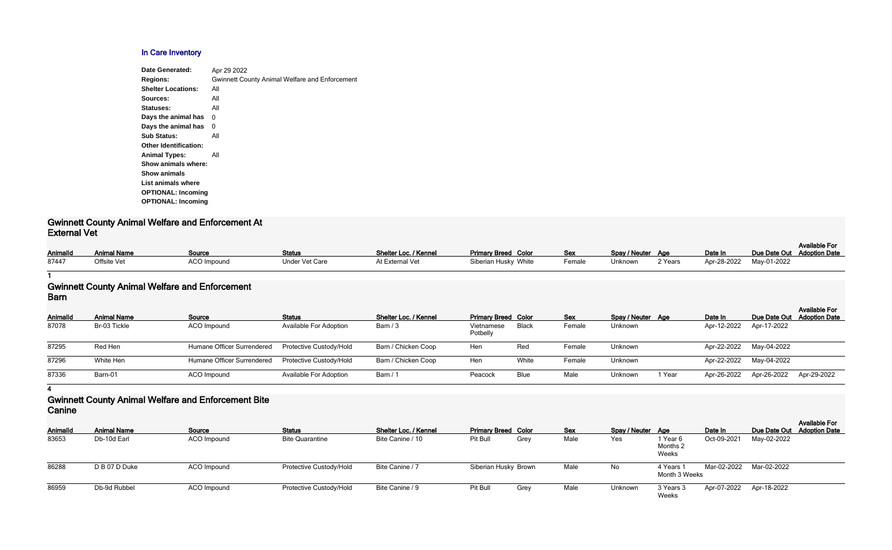# **In Care Inventory**

| Apr 29 2022                                           |
|-------------------------------------------------------|
| <b>Gwinnett County Animal Welfare and Enforcement</b> |
| All                                                   |
| All                                                   |
| All                                                   |
| 0                                                     |
| 0                                                     |
| All                                                   |
|                                                       |
| All                                                   |
|                                                       |
|                                                       |
|                                                       |
|                                                       |
|                                                       |
|                                                       |

#### **Gwinnett County Animal Welfare and Enforcement At External Vet**

|                 | ———————————        |                    |                |                       |                            |        |                   |         |                         |                            |                      |  |  |
|-----------------|--------------------|--------------------|----------------|-----------------------|----------------------------|--------|-------------------|---------|-------------------------|----------------------------|----------------------|--|--|
| <b>AnimalId</b> | <b>Animal Name</b> | Source             | <b>Status</b>  | Shelter Loc. / Kennel | <b>Primary Breed Color</b> | Sex    | Spay / Neuter Age |         | Date In                 | Due Date Out Adoption Date | <b>Available For</b> |  |  |
| 87447           | Offsite Vet        | <b>ACO Impound</b> | Under Vet Care | At External Vet       | Siberian Husky White       | Female | Unknown           | 2 Years | Apr-28-2022 May-01-2022 |                            |                      |  |  |

#### **1**

# **Gwinnett County Animal Welfare and Enforcement Barn**

| <b>AnimalId</b><br>87078 | <b>Animal Name</b><br>Br-03 Tickle | Source<br>ACO Impound      | <b>Status</b><br><b>Available For Adoption</b> | Shelter Loc. / Kennel<br>Barn / 3 | <b>Primary Breed Color</b><br>Vietnamese<br>Potbelly | Black | <b>Sex</b><br>Female | Spay / Neuter Age<br>Unknown |        | Date In<br>Apr-12-2022 | Apr-17-2022             | <b>Available For</b><br>Due Date Out Adoption Date |
|--------------------------|------------------------------------|----------------------------|------------------------------------------------|-----------------------------------|------------------------------------------------------|-------|----------------------|------------------------------|--------|------------------------|-------------------------|----------------------------------------------------|
| 87295                    | Red Hen                            | Humane Officer Surrendered | Protective Custody/Hold                        | Barn / Chicken Coop               | Hen                                                  | Red   | Female               | Unknown                      |        |                        | Apr-22-2022 May-04-2022 |                                                    |
| 87296                    | White Hen                          | Humane Officer Surrendered | Protective Custody/Hold                        | Barn / Chicken Coop               | Hen                                                  | White | Female               | Unknown                      |        |                        | Apr-22-2022 May-04-2022 |                                                    |
| 87336                    | Barn-01                            | ACO Impound                | <b>Available For Adoption</b>                  | Barn / 1                          | Peacock                                              | Blue  | Male                 | Unknown                      | 1 Year | Apr-26-2022            | Apr-26-2022             | Apr-29-2022                                        |

**4**

## **Gwinnett County Animal Welfare and Enforcement Bite Canine**

| <b>AnimalId</b><br>83653 | <b>Animal Name</b><br>Db-10d Earl | Source<br>ACO Impound | <b>Status</b><br><b>Bite Quarantine</b> | <b>Shelter Loc. / Kennel</b><br>Bite Canine / 10 | <b>Primary Breed Color</b><br>Pit Bull | Grey | Sex<br>Male | Spay / Neuter Age<br>Yes | Year 6<br>Months 2<br>Weeks | Date In<br>Oct-09-2021  | May-02-2022 | <b>Available For</b><br>Due Date Out Adoption Date |
|--------------------------|-----------------------------------|-----------------------|-----------------------------------------|--------------------------------------------------|----------------------------------------|------|-------------|--------------------------|-----------------------------|-------------------------|-------------|----------------------------------------------------|
| 86288                    | D B 07 D Duke                     | ACO Impound           | Protective Custody/Hold                 | Bite Canine / 7                                  | Siberian Husky Brown                   |      | Male        | No                       | 4 Years 1<br>Month 3 Weeks  | Mar-02-2022 Mar-02-2022 |             |                                                    |
| 86959                    | Db-9d Rubbel                      | ACO Impound           | Protective Custody/Hold                 | Bite Canine / 9                                  | Pit Bull                               | Grey | Male        | Unknown                  | 3 Years 3<br>Weeks          | Apr-07-2022 Apr-18-2022 |             |                                                    |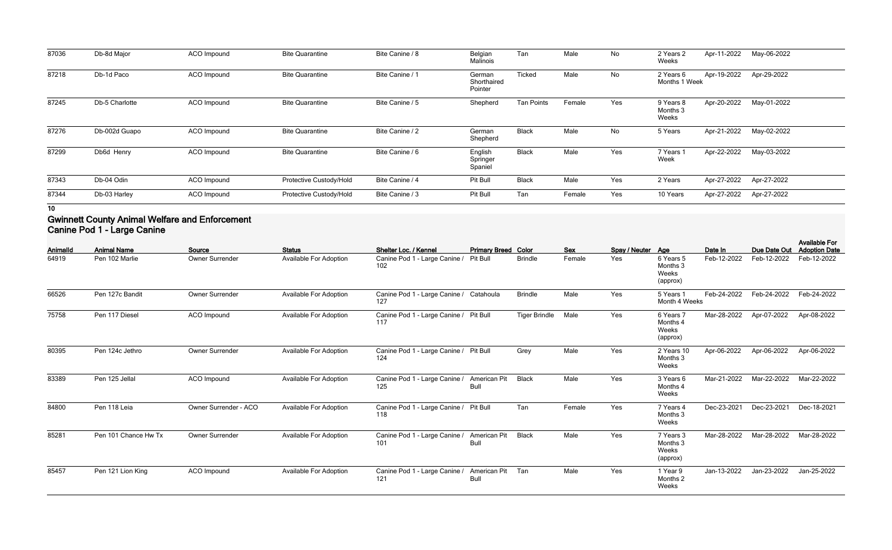| 87036           | Db-8d Major    | <b>ACO</b> Impound | <b>Bite Quarantine</b>  | Bite Canine / 8 | Belgian<br>Malinois              | Tan               | Male   | No  | 2 Years 2<br>Weeks             | Apr-11-2022 | May-06-2022 |
|-----------------|----------------|--------------------|-------------------------|-----------------|----------------------------------|-------------------|--------|-----|--------------------------------|-------------|-------------|
| 87218           | Db-1d Paco     | <b>ACO</b> Impound | <b>Bite Quarantine</b>  | Bite Canine / 1 | German<br>Shorthaired<br>Pointer | <b>Ticked</b>     | Male   | No  | 2 Years 6<br>Months 1 Week     | Apr-19-2022 | Apr-29-2022 |
| 87245           | Db-5 Charlotte | <b>ACO</b> Impound | <b>Bite Quarantine</b>  | Bite Canine / 5 | Shepherd                         | <b>Tan Points</b> | Female | Yes | 9 Years 8<br>Months 3<br>Weeks | Apr-20-2022 | May-01-2022 |
| 87276           | Db-002d Guapo  | <b>ACO</b> Impound | <b>Bite Quarantine</b>  | Bite Canine / 2 | German<br>Shepherd               | <b>Black</b>      | Male   | No  | 5 Years                        | Apr-21-2022 | May-02-2022 |
| 87299           | Db6d Henry     | <b>ACO</b> Impound | <b>Bite Quarantine</b>  | Bite Canine / 6 | English<br>Springer<br>Spaniel   | <b>Black</b>      | Male   | Yes | 7 Years<br>Week                | Apr-22-2022 | May-03-2022 |
| 87343           | Db-04 Odin     | <b>ACO</b> Impound | Protective Custody/Hold | Bite Canine / 4 | Pit Bull                         | <b>Black</b>      | Male   | Yes | 2 Years                        | Apr-27-2022 | Apr-27-2022 |
| 87344           | Db-03 Harley   | <b>ACO</b> Impound | Protective Custody/Hold | Bite Canine / 3 | Pit Bull                         | Tan               | Female | Yes | 10 Years                       | Apr-27-2022 | Apr-27-2022 |
| 10 <sup>°</sup> |                |                    |                         |                 |                                  |                   |        |     |                                |             |             |

# **Gwinnett County Animal Welfare and Enforcement Canine Pod 1 - Large Canine**

| Animalld | <b>Animal Name</b>   | Source                 | <b>Status</b>                 | Shelter Loc. / Kennel                         | <b>Primary Breed Color</b>  |                      | <b>Sex</b> | Spay / Neuter Age |                                            | Date In     | Due Date Out | <b>Available For</b><br><b>Adoption Date</b> |
|----------|----------------------|------------------------|-------------------------------|-----------------------------------------------|-----------------------------|----------------------|------------|-------------------|--------------------------------------------|-------------|--------------|----------------------------------------------|
| 64919    | Pen 102 Marlie       | <b>Owner Surrender</b> | <b>Available For Adoption</b> | Canine Pod 1 - Large Canine.<br>102           | <b>Pit Bull</b>             | <b>Brindle</b>       | Female     | Yes               | 6 Years 5<br>Months 3<br>Weeks<br>(approx) | Feb-12-2022 | Feb-12-2022  | Feb-12-2022                                  |
| 66526    | Pen 127c Bandit      | <b>Owner Surrender</b> | <b>Available For Adoption</b> | Canine Pod 1 - Large Canine /<br>127          | Catahoula                   | <b>Brindle</b>       | Male       | Yes               | 5 Years 1<br>Month 4 Weeks                 | Feb-24-2022 | Feb-24-2022  | Feb-24-2022                                  |
| 75758    | Pen 117 Diesel       | <b>ACO</b> Impound     | <b>Available For Adoption</b> | Canine Pod 1 - Large Canine /<br>117          | Pit Bull                    | <b>Tiger Brindle</b> | Male       | Yes               | 6 Years 7<br>Months 4<br>Weeks<br>(approx) | Mar-28-2022 | Apr-07-2022  | Apr-08-2022                                  |
| 80395    | Pen 124c Jethro      | Owner Surrender        | <b>Available For Adoption</b> | Canine Pod 1 - Large Canine / Pit Bull<br>124 |                             | Grey                 | Male       | Yes               | 2 Years 10<br>Months 3<br>Weeks            | Apr-06-2022 | Apr-06-2022  | Apr-06-2022                                  |
| 83389    | Pen 125 Jellal       | ACO Impound            | <b>Available For Adoption</b> | Canine Pod 1 - Large Canine /<br>125          | American Pit<br><b>Bull</b> | <b>Black</b>         | Male       | Yes               | 3 Years 6<br>Months 4<br>Weeks             | Mar-21-2022 | Mar-22-2022  | Mar-22-2022                                  |
| 84800    | Pen 118 Leia         | Owner Surrender - ACO  | <b>Available For Adoption</b> | Canine Pod 1 - Large Canine / Pit Bull<br>118 |                             | Tan                  | Female     | Yes               | 7 Years 4<br>Months 3<br>Weeks             | Dec-23-2021 | Dec-23-2021  | Dec-18-2021                                  |
| 85281    | Pen 101 Chance Hw Tx | Owner Surrender        | <b>Available For Adoption</b> | Canine Pod 1 - Large Canine /<br>101          | American Pit<br><b>Bull</b> | <b>Black</b>         | Male       | Yes               | 7 Years 3<br>Months 3<br>Weeks<br>(approx) | Mar-28-2022 | Mar-28-2022  | Mar-28-2022                                  |
| 85457    | Pen 121 Lion King    | <b>ACO</b> Impound     | <b>Available For Adoption</b> | Canine Pod 1 - Large Canine /<br>121          | American Pit<br><b>Bull</b> | Tan                  | Male       | Yes               | 1 Year 9<br>Months 2<br>Weeks              | Jan-13-2022 | Jan-23-2022  | Jan-25-2022                                  |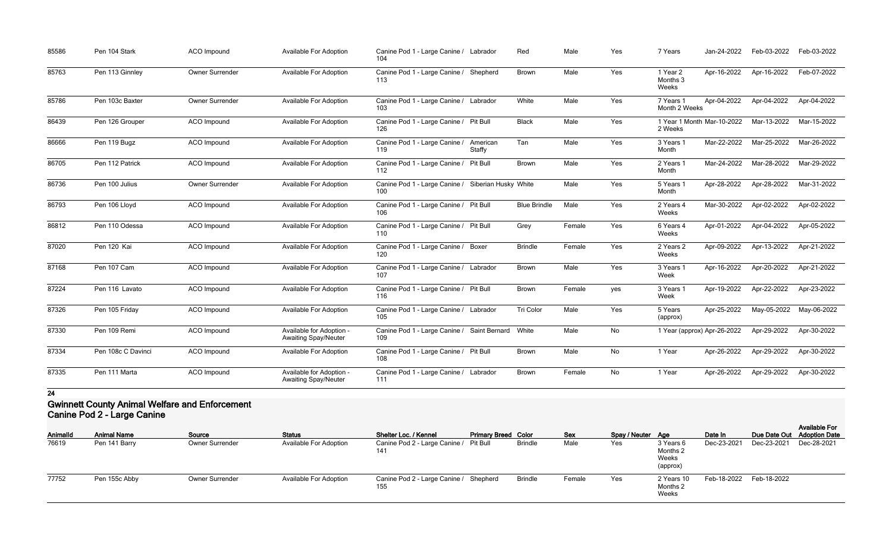| 85586 | Pen 104 Stark      | ACO Impound        | Available For Adoption                                  | Canine Pod 1 - Large Canine / Labrador<br>104             |                           | Red                 | Male   | Yes | 7 Years                               | Jan-24-2022 | Feb-03-2022 | Feb-03-2022 |
|-------|--------------------|--------------------|---------------------------------------------------------|-----------------------------------------------------------|---------------------------|---------------------|--------|-----|---------------------------------------|-------------|-------------|-------------|
| 85763 | Pen 113 Ginnley    | Owner Surrender    | <b>Available For Adoption</b>                           | Canine Pod 1 - Large Canine /<br>113                      | Shepherd                  | <b>Brown</b>        | Male   | Yes | 1 Year 2<br>Months 3<br>Weeks         | Apr-16-2022 | Apr-16-2022 | Feb-07-2022 |
| 85786 | Pen 103c Baxter    | Owner Surrender    | Available For Adoption                                  | Canine Pod 1 - Large Canine / Labrador<br>103             |                           | White               | Male   | Yes | 7 Years 1<br>Month 2 Weeks            | Apr-04-2022 | Apr-04-2022 | Apr-04-2022 |
| 86439 | Pen 126 Grouper    | ACO Impound        | <b>Available For Adoption</b>                           | Canine Pod 1 - Large Canine / Pit Bull<br>126             |                           | <b>Black</b>        | Male   | Yes | 1 Year 1 Month Mar-10-2022<br>2 Weeks |             | Mar-13-2022 | Mar-15-2022 |
| 86666 | Pen 119 Bugz       | ACO Impound        | Available For Adoption                                  | Canine Pod 1 - Large Canine /<br>119                      | American<br><b>Staffy</b> | Tan                 | Male   | Yes | 3 Years 1<br>Month                    | Mar-22-2022 | Mar-25-2022 | Mar-26-2022 |
| 86705 | Pen 112 Patrick    | ACO Impound        | <b>Available For Adoption</b>                           | Canine Pod 1 - Large Canine /<br>112                      | Pit Bull                  | <b>Brown</b>        | Male   | Yes | 2 Years 1<br>Month                    | Mar-24-2022 | Mar-28-2022 | Mar-29-2022 |
| 86736 | Pen 100 Julius     | Owner Surrender    | Available For Adoption                                  | Canine Pod 1 - Large Canine / Siberian Husky White<br>100 |                           |                     | Male   | Yes | 5 Years 1<br>Month                    | Apr-28-2022 | Apr-28-2022 | Mar-31-2022 |
| 86793 | Pen 106 Lloyd      | ACO Impound        | <b>Available For Adoption</b>                           | Canine Pod 1 - Large Canine / Pit Bull<br>106             |                           | <b>Blue Brindle</b> | Male   | Yes | 2 Years 4<br>Weeks                    | Mar-30-2022 | Apr-02-2022 | Apr-02-2022 |
| 86812 | Pen 110 Odessa     | ACO Impound        | <b>Available For Adoption</b>                           | Canine Pod 1 - Large Canine / Pit Bull<br>110             |                           | Grey                | Female | Yes | 6 Years 4<br>Weeks                    | Apr-01-2022 | Apr-04-2022 | Apr-05-2022 |
| 87020 | Pen 120 Kai        | ACO Impound        | Available For Adoption                                  | Canine Pod 1 - Large Canine / Boxer<br>120                |                           | <b>Brindle</b>      | Female | Yes | 2 Years 2<br>Weeks                    | Apr-09-2022 | Apr-13-2022 | Apr-21-2022 |
| 87168 | Pen 107 Cam        | <b>ACO</b> Impound | <b>Available For Adoption</b>                           | Canine Pod 1 - Large Canine / Labrador<br>107             |                           | Brown               | Male   | Yes | 3 Years 1<br>Week                     | Apr-16-2022 | Apr-20-2022 | Apr-21-2022 |
| 87224 | Pen 116 Lavato     | ACO Impound        | <b>Available For Adoption</b>                           | Canine Pod 1 - Large Canine / Pit Bull<br>116             |                           | <b>Brown</b>        | Female | yes | 3 Years 1<br>Week                     | Apr-19-2022 | Apr-22-2022 | Apr-23-2022 |
| 87326 | Pen 105 Friday     | ACO Impound        | <b>Available For Adoption</b>                           | Canine Pod 1 - Large Canine / Labrador<br>105             |                           | Tri Color           | Male   | Yes | 5 Years<br>(approx)                   | Apr-25-2022 | May-05-2022 | May-06-2022 |
| 87330 | Pen 109 Remi       | <b>ACO</b> Impound | Available for Adoption -<br><b>Awaiting Spay/Neuter</b> | Canine Pod 1 - Large Canine / Saint Bernard<br>109        |                           | White               | Male   | No  | 1 Year (approx) Apr-26-2022           |             | Apr-29-2022 | Apr-30-2022 |
| 87334 | Pen 108c C Davinci | ACO Impound        | Available For Adoption                                  | Canine Pod 1 - Large Canine / Pit Bull<br>108             |                           | <b>Brown</b>        | Male   | No  | 1 Year                                | Apr-26-2022 | Apr-29-2022 | Apr-30-2022 |
| 87335 | Pen 111 Marta      | ACO Impound        | Available for Adoption -<br><b>Awaiting Spay/Neuter</b> | Canine Pod 1 - Large Canine / Labrador<br>111             |                           | <b>Brown</b>        | Female | No  | 1 Year                                | Apr-26-2022 | Apr-29-2022 | Apr-30-2022 |

## **Gwinnett County Animal Welfare and Enforcement Canine Pod 2 - Large Canine**

|                 | $\frac{1}{2}$ cannot be $\frac{1}{2}$ can be continued to $\frac{1}{2}$ |                        |                               |                                               |                            |                |            |                   |                                            |             |                         |                                                    |
|-----------------|-------------------------------------------------------------------------|------------------------|-------------------------------|-----------------------------------------------|----------------------------|----------------|------------|-------------------|--------------------------------------------|-------------|-------------------------|----------------------------------------------------|
| <b>AnimalId</b> | <b>Animal Name</b>                                                      | Source                 | <b>Status</b>                 | Shelter Loc. / Kennel                         | <b>Primary Breed Color</b> |                | <b>Sex</b> | Spay / Neuter Age |                                            | Date In     |                         | <b>Available For</b><br>Due Date Out Adoption Date |
| 76619           | Pen 141 Barry                                                           | <b>Owner Surrender</b> | <b>Available For Adoption</b> | Canine Pod 2 - Large Canine / Pit Bull<br>141 |                            | <b>Brindle</b> | Male       | Yes               | 3 Years 6<br>Months 2<br>Weeks<br>(approx) | Dec-23-2021 | Dec-23-2021 Dec-28-2021 |                                                    |
| 77752           | Pen 155c Abby                                                           | <b>Owner Surrender</b> | <b>Available For Adoption</b> | Canine Pod 2 - Large Canine / Shepherd<br>155 |                            | <b>Brindle</b> | Female     | Yes               | 2 Years 10<br>Months 2<br>Weeks            |             | Feb-18-2022 Feb-18-2022 |                                                    |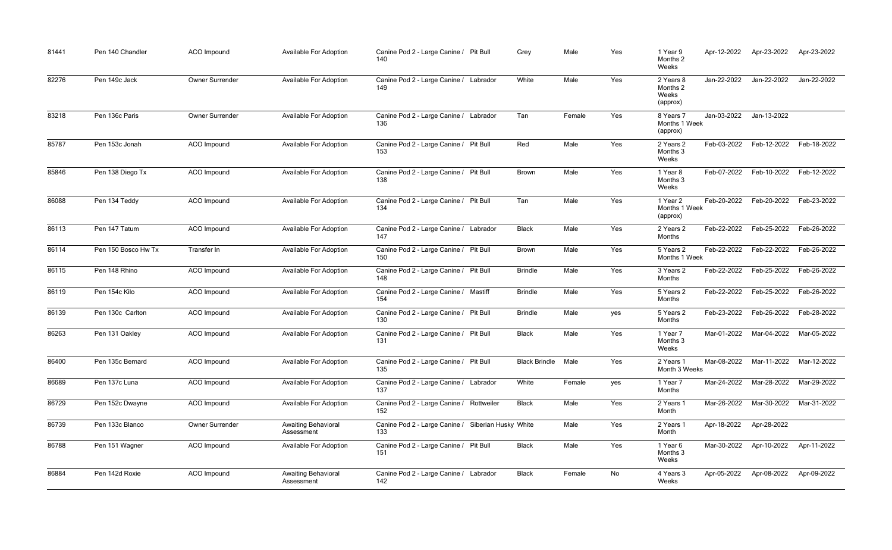| 81441 | Pen 140 Chandler    | <b>ACO</b> Impound | <b>Available For Adoption</b>            | Canine Pod 2 - Large Canine / Pit Bull<br>140             | Grey                 | Male   | Yes | 1 Year 9<br>Months 2<br>Weeks              | Apr-12-2022 | Apr-23-2022 | Apr-23-2022 |
|-------|---------------------|--------------------|------------------------------------------|-----------------------------------------------------------|----------------------|--------|-----|--------------------------------------------|-------------|-------------|-------------|
| 82276 | Pen 149c Jack       | Owner Surrender    | <b>Available For Adoption</b>            | Canine Pod 2 - Large Canine /<br>Labrador<br>149          | White                | Male   | Yes | 2 Years 8<br>Months 2<br>Weeks<br>(approx) | Jan-22-2022 | Jan-22-2022 | Jan-22-2022 |
| 83218 | Pen 136c Paris      | Owner Surrender    | <b>Available For Adoption</b>            | Canine Pod 2 - Large Canine / Labrador<br>136             | Tan                  | Female | Yes | 8 Years 7<br>Months 1 Week<br>(approx)     | Jan-03-2022 | Jan-13-2022 |             |
| 85787 | Pen 153c Jonah      | ACO Impound        | <b>Available For Adoption</b>            | Canine Pod 2 - Large Canine / Pit Bull<br>153             | Red                  | Male   | Yes | 2 Years 2<br>Months 3<br>Weeks             | Feb-03-2022 | Feb-12-2022 | Feb-18-2022 |
| 85846 | Pen 138 Diego Tx    | ACO Impound        | <b>Available For Adoption</b>            | Canine Pod 2 - Large Canine / Pit Bull<br>138             | <b>Brown</b>         | Male   | Yes | 1 Year 8<br>Months 3<br>Weeks              | Feb-07-2022 | Feb-10-2022 | Feb-12-2022 |
| 86088 | Pen 134 Teddy       | <b>ACO</b> Impound | <b>Available For Adoption</b>            | Canine Pod 2 - Large Canine / Pit Bull<br>134             | Tan                  | Male   | Yes | 1 Year 2<br>Months 1 Week<br>(approx)      | Feb-20-2022 | Feb-20-2022 | Feb-23-2022 |
| 86113 | Pen 147 Tatum       | ACO Impound        | <b>Available For Adoption</b>            | Canine Pod 2 - Large Canine / Labrador<br>147             | <b>Black</b>         | Male   | Yes | 2 Years 2<br>Months                        | Feb-22-2022 | Feb-25-2022 | Feb-26-2022 |
| 86114 | Pen 150 Bosco Hw Tx | Transfer In        | Available For Adoption                   | Canine Pod 2 - Large Canine / Pit Bull<br>150             | Brown                | Male   | Yes | 5 Years 2<br>Months 1 Week                 | Feb-22-2022 | Feb-22-2022 | Feb-26-2022 |
| 86115 | Pen 148 Rhino       | ACO Impound        | <b>Available For Adoption</b>            | Canine Pod 2 - Large Canine / Pit Bull<br>148             | <b>Brindle</b>       | Male   | Yes | 3 Years 2<br>Months                        | Feb-22-2022 | Feb-25-2022 | Feb-26-2022 |
| 86119 | Pen 154c Kilo       | <b>ACO</b> Impound | Available For Adoption                   | Canine Pod 2 - Large Canine / Mastiff<br>154              | <b>Brindle</b>       | Male   | Yes | 5 Years 2<br>Months                        | Feb-22-2022 | Feb-25-2022 | Feb-26-2022 |
| 86139 | Pen 130c Carlton    | ACO Impound        | Available For Adoption                   | Canine Pod 2 - Large Canine / Pit Bull<br>130             | <b>Brindle</b>       | Male   | yes | 5 Years 2<br>Months                        | Feb-23-2022 | Feb-26-2022 | Feb-28-2022 |
| 86263 | Pen 131 Oakley      | <b>ACO</b> Impound | <b>Available For Adoption</b>            | Canine Pod 2 - Large Canine / Pit Bull<br>131             | <b>Black</b>         | Male   | Yes | 1 Year 7<br>Months 3<br>Weeks              | Mar-01-2022 | Mar-04-2022 | Mar-05-2022 |
| 86400 | Pen 135c Bernard    | ACO Impound        | Available For Adoption                   | Canine Pod 2 - Large Canine / Pit Bull<br>135             | <b>Black Brindle</b> | Male   | Yes | 2 Years 1<br>Month 3 Weeks                 | Mar-08-2022 | Mar-11-2022 | Mar-12-2022 |
| 86689 | Pen 137c Luna       | ACO Impound        | <b>Available For Adoption</b>            | Canine Pod 2 - Large Canine / Labrador<br>137             | White                | Female | yes | 1 Year 7<br>Months                         | Mar-24-2022 | Mar-28-2022 | Mar-29-2022 |
| 86729 | Pen 152c Dwayne     | ACO Impound        | Available For Adoption                   | Canine Pod 2 - Large Canine / Rottweiler<br>152           | <b>Black</b>         | Male   | Yes | 2 Years 1<br>Month                         | Mar-26-2022 | Mar-30-2022 | Mar-31-2022 |
| 86739 | Pen 133c Blanco     | Owner Surrender    | Awaiting Behavioral<br>Assessment        | Canine Pod 2 - Large Canine / Siberian Husky White<br>133 |                      | Male   | Yes | 2 Years 1<br>Month                         | Apr-18-2022 | Apr-28-2022 |             |
| 86788 | Pen 151 Wagner      | ACO Impound        | Available For Adoption                   | Canine Pod 2 - Large Canine / Pit Bull<br>151             | <b>Black</b>         | Male   | Yes | 1 Year 6<br>Months 3<br>Weeks              | Mar-30-2022 | Apr-10-2022 | Apr-11-2022 |
| 86884 | Pen 142d Roxie      | ACO Impound        | <b>Awaiting Behavioral</b><br>Assessment | Canine Pod 2 - Large Canine / Labrador<br>142             | <b>Black</b>         | Female | No  | 4 Years 3<br>Weeks                         | Apr-05-2022 | Apr-08-2022 | Apr-09-2022 |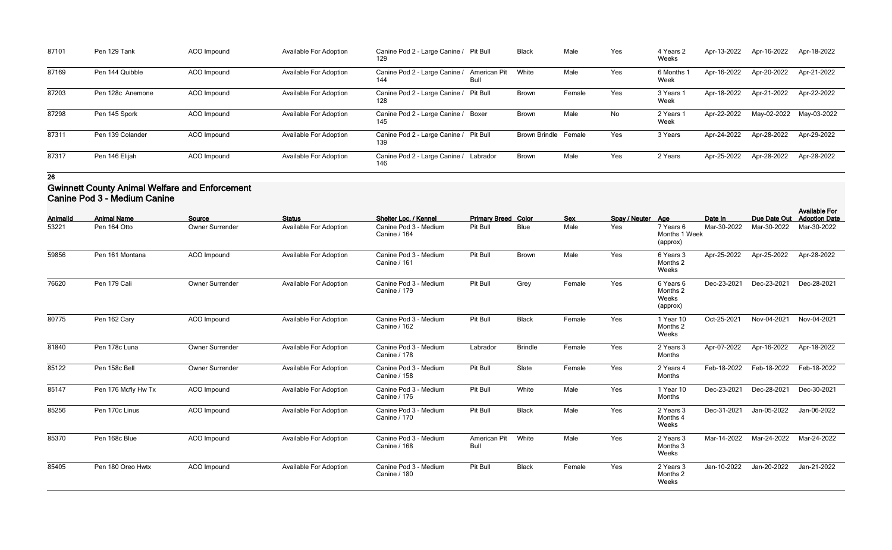| 87101 | Pen 129 Tank     | ACO Impound        | <b>Available For Adoption</b> | Canine Pod 2 - Large Canine /<br>129          | Pit Bull             | <b>Black</b>         | Male   | Yes | 4 Years 2<br>Weeks | Apr-13-2022 | Apr-16-2022 | Apr-18-2022 |
|-------|------------------|--------------------|-------------------------------|-----------------------------------------------|----------------------|----------------------|--------|-----|--------------------|-------------|-------------|-------------|
| 87169 | Pen 144 Quibble  | ACO Impound        | <b>Available For Adoption</b> | Canine Pod 2 - Large Canine /<br>144          | American Pit<br>Bull | White                | Male   | Yes | 6 Months<br>Week   | Apr-16-2022 | Apr-20-2022 | Apr-21-2022 |
| 87203 | Pen 128c Anemone | ACO Impound        | <b>Available For Adoption</b> | Canine Pod 2 - Large Canine /<br>128          | Pit Bull             | <b>Brown</b>         | Female | Yes | 3 Years<br>Week    | Apr-18-2022 | Apr-21-2022 | Apr-22-2022 |
| 87298 | Pen 145 Spork    | <b>ACO Impound</b> | <b>Available For Adoption</b> | Canine Pod 2 - Large Canine / Boxer<br>145    |                      | Brown                | Male   | No  | 2 Years<br>Week    | Apr-22-2022 | May-02-2022 | May-03-2022 |
| 87311 | Pen 139 Colander | ACO Impound        | <b>Available For Adoption</b> | Canine Pod 2 - Large Canine / Pit Bull<br>139 |                      | <b>Brown Brindle</b> | Female | Yes | 3 Years            | Apr-24-2022 | Apr-28-2022 | Apr-29-2022 |
| 87317 | Pen 146 Elijah   | ACO Impound        | <b>Available For Adoption</b> | Canine Pod 2 - Large Canine / Labrador<br>146 |                      | Brown                | Male   | Yes | 2 Years            | Apr-25-2022 | Apr-28-2022 | Apr-28-2022 |

# **Gwinnett County Animal Welfare and Enforcement Canine Pod 3 - Medium Canine**

| Animalld | <b>Animal Name</b>  | Source                 | <b>Status</b>                 | Shelter Loc. / Kennel                        | <b>Primary Breed Color</b>  |                | <b>Sex</b> | Spay / Neuter Age |                                            | Date In     | Due Date Out | <b>Available For</b><br><b>Adoption Date</b> |
|----------|---------------------|------------------------|-------------------------------|----------------------------------------------|-----------------------------|----------------|------------|-------------------|--------------------------------------------|-------------|--------------|----------------------------------------------|
| 53221    | Pen 164 Otto        | Owner Surrender        | <b>Available For Adoption</b> | Canine Pod 3 - Medium<br><b>Canine / 164</b> | Pit Bull                    | <b>Blue</b>    | Male       | Yes               | 7 Years 6<br>Months 1 Week<br>(approx)     | Mar-30-2022 | Mar-30-2022  | Mar-30-2022                                  |
| 59856    | Pen 161 Montana     | <b>ACO</b> Impound     | <b>Available For Adoption</b> | Canine Pod 3 - Medium<br>Canine / 161        | Pit Bull                    | Brown          | Male       | Yes               | 6 Years 3<br>Months 2<br>Weeks             | Apr-25-2022 | Apr-25-2022  | Apr-28-2022                                  |
| 76620    | Pen 179 Cali        | <b>Owner Surrender</b> | <b>Available For Adoption</b> | Canine Pod 3 - Medium<br>Canine / 179        | Pit Bull                    | Grey           | Female     | Yes               | 6 Years 6<br>Months 2<br>Weeks<br>(approx) | Dec-23-2021 | Dec-23-2021  | Dec-28-2021                                  |
| 80775    | Pen 162 Cary        | <b>ACO</b> Impound     | <b>Available For Adoption</b> | Canine Pod 3 - Medium<br>Canine / 162        | Pit Bull                    | <b>Black</b>   | Female     | Yes               | 1 Year 10<br>Months 2<br>Weeks             | Oct-25-2021 | Nov-04-2021  | Nov-04-2021                                  |
| 81840    | Pen 178c Luna       | Owner Surrender        | Available For Adoption        | Canine Pod 3 - Medium<br><b>Canine / 178</b> | Labrador                    | <b>Brindle</b> | Female     | Yes               | 2 Years 3<br>Months                        | Apr-07-2022 | Apr-16-2022  | Apr-18-2022                                  |
| 85122    | Pen 158c Bell       | Owner Surrender        | <b>Available For Adoption</b> | Canine Pod 3 - Medium<br><b>Canine / 158</b> | Pit Bull                    | Slate          | Female     | Yes               | 2 Years 4<br>Months                        | Feb-18-2022 | Feb-18-2022  | Feb-18-2022                                  |
| 85147    | Pen 176 Mcfly Hw Tx | <b>ACO</b> Impound     | <b>Available For Adoption</b> | Canine Pod 3 - Medium<br>Canine / 176        | Pit Bull                    | White          | Male       | Yes               | 1 Year 10<br>Months                        | Dec-23-2021 | Dec-28-2021  | Dec-30-2021                                  |
| 85256    | Pen 170c Linus      | <b>ACO</b> Impound     | <b>Available For Adoption</b> | Canine Pod 3 - Medium<br>Canine / 170        | Pit Bull                    | <b>Black</b>   | Male       | Yes               | 2 Years 3<br>Months 4<br>Weeks             | Dec-31-2021 | Jan-05-2022  | Jan-06-2022                                  |
| 85370    | Pen 168c Blue       | <b>ACO</b> Impound     | Available For Adoption        | Canine Pod 3 - Medium<br>Canine / 168        | American Pit<br><b>Bull</b> | White          | Male       | Yes               | 2 Years 3<br>Months 3<br>Weeks             | Mar-14-2022 | Mar-24-2022  | Mar-24-2022                                  |
| 85405    | Pen 180 Oreo Hwtx   | ACO Impound            | Available For Adoption        | Canine Pod 3 - Medium<br>Canine / 180        | Pit Bull                    | <b>Black</b>   | Female     | Yes               | 2 Years 3<br>Months 2<br>Weeks             | Jan-10-2022 | Jan-20-2022  | Jan-21-2022                                  |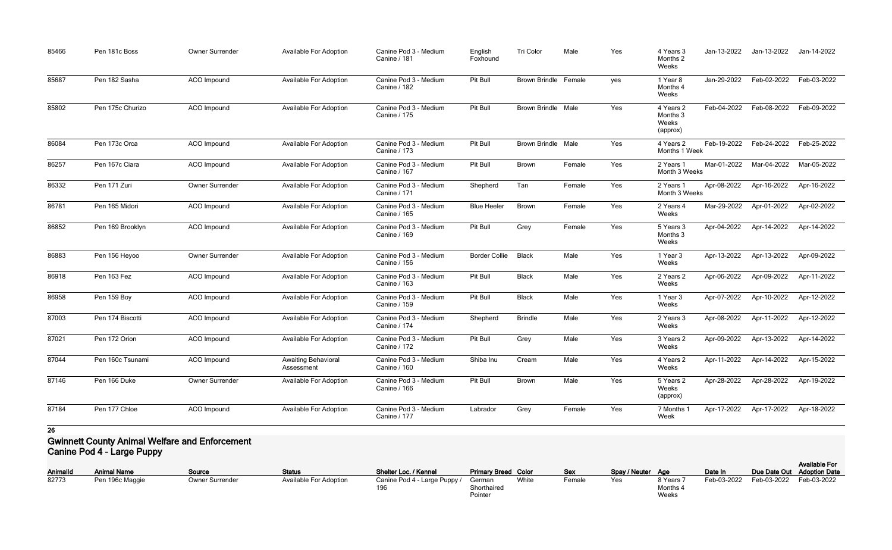| 85466 | Pen 181c Boss    | <b>Owner Surrender</b> | Available For Adoption                   | Canine Pod 3 - Medium<br>Canine / 181        | English<br>Foxhound  | <b>Tri Color</b>            | Male   | Yes | 4 Years 3<br>Months 2<br>Weeks             | Jan-13-2022 | Jan-13-2022                         | Jan-14-2022 |
|-------|------------------|------------------------|------------------------------------------|----------------------------------------------|----------------------|-----------------------------|--------|-----|--------------------------------------------|-------------|-------------------------------------|-------------|
| 85687 | Pen 182 Sasha    | <b>ACO</b> Impound     | Available For Adoption                   | Canine Pod 3 - Medium<br><b>Canine / 182</b> | Pit Bull             | <b>Brown Brindle Female</b> |        | yes | 1 Year 8<br>Months 4<br>Weeks              | Jan-29-2022 | Feb-02-2022                         | Feb-03-2022 |
| 85802 | Pen 175c Churizo | <b>ACO</b> Impound     | Available For Adoption                   | Canine Pod 3 - Medium<br><b>Canine / 175</b> | Pit Bull             | <b>Brown Brindle Male</b>   |        | Yes | 4 Years 2<br>Months 3<br>Weeks<br>(approx) | Feb-04-2022 | Feb-08-2022                         | Feb-09-2022 |
| 86084 | Pen 173c Orca    | <b>ACO</b> Impound     | Available For Adoption                   | Canine Pod 3 - Medium<br>Canine / 173        | Pit Bull             | <b>Brown Brindle Male</b>   |        | Yes | 4 Years 2<br>Months 1 Week                 | Feb-19-2022 | Feb-24-2022                         | Feb-25-2022 |
| 86257 | Pen 167c Ciara   | <b>ACO</b> Impound     | <b>Available For Adoption</b>            | Canine Pod 3 - Medium<br>Canine / 167        | Pit Bull             | <b>Brown</b>                | Female | Yes | 2 Years 1<br>Month 3 Weeks                 | Mar-01-2022 | Mar-04-2022                         | Mar-05-2022 |
| 86332 | Pen 171 Zuri     | <b>Owner Surrender</b> | Available For Adoption                   | Canine Pod 3 - Medium<br>Canine / 171        | Shepherd             | Tan                         | Female | Yes | 2 Years 1<br>Month 3 Weeks                 | Apr-08-2022 | Apr-16-2022                         | Apr-16-2022 |
| 86781 | Pen 165 Midori   | <b>ACO</b> Impound     | Available For Adoption                   | Canine Pod 3 - Medium<br>Canine / 165        | <b>Blue Heeler</b>   | <b>Brown</b>                | Female | Yes | 2 Years 4<br>Weeks                         | Mar-29-2022 | Apr-01-2022                         | Apr-02-2022 |
| 86852 | Pen 169 Brooklyn | <b>ACO</b> Impound     | <b>Available For Adoption</b>            | Canine Pod 3 - Medium<br>Canine / 169        | Pit Bull             | Grey                        | Female | Yes | 5 Years 3<br>Months 3<br>Weeks             | Apr-04-2022 | Apr-14-2022                         | Apr-14-2022 |
| 86883 | Pen 156 Heyoo    | <b>Owner Surrender</b> | <b>Available For Adoption</b>            | Canine Pod 3 - Medium<br>Canine / 156        | <b>Border Collie</b> | <b>Black</b>                | Male   | Yes | 1 Year 3<br>Weeks                          | Apr-13-2022 | Apr-13-2022                         | Apr-09-2022 |
| 86918 | Pen 163 Fez      | <b>ACO</b> Impound     | Available For Adoption                   | Canine Pod 3 - Medium<br>Canine / 163        | Pit Bull             | <b>Black</b>                | Male   | Yes | 2 Years 2<br>Weeks                         | Apr-06-2022 | Apr-09-2022                         | Apr-11-2022 |
| 86958 | Pen 159 Boy      | <b>ACO</b> Impound     | <b>Available For Adoption</b>            | Canine Pod 3 - Medium<br>Canine / 159        | Pit Bull             | <b>Black</b>                | Male   | Yes | 1 Year 3<br>Weeks                          | Apr-07-2022 | Apr-10-2022                         | Apr-12-2022 |
| 87003 | Pen 174 Biscotti | <b>ACO</b> Impound     | <b>Available For Adoption</b>            | Canine Pod 3 - Medium<br>Canine / 174        | Shepherd             | <b>Brindle</b>              | Male   | Yes | 2 Years 3<br>Weeks                         | Apr-08-2022 | Apr-11-2022                         | Apr-12-2022 |
| 87021 | Pen 172 Orion    | ACO Impound            | <b>Available For Adoption</b>            | Canine Pod 3 - Medium<br>Canine / 172        | Pit Bull             | Grey                        | Male   | Yes | 3 Years 2<br>Weeks                         |             | Apr-09-2022 Apr-13-2022 Apr-14-2022 |             |
| 87044 | Pen 160c Tsunami | ACO Impound            | <b>Awaiting Behavioral</b><br>Assessment | Canine Pod 3 - Medium<br>Canine / 160        | Shiba Inu            | Cream                       | Male   | Yes | 4 Years 2<br>Weeks                         | Apr-11-2022 | Apr-14-2022                         | Apr-15-2022 |
| 87146 | Pen 166 Duke     | Owner Surrender        | <b>Available For Adoption</b>            | Canine Pod 3 - Medium<br>Canine / 166        | Pit Bull             | <b>Brown</b>                | Male   | Yes | 5 Years 2<br>Weeks<br>(approx)             | Apr-28-2022 | Apr-28-2022                         | Apr-19-2022 |
| 87184 | Pen 177 Chloe    | ACO Impound            | <b>Available For Adoption</b>            | Canine Pod 3 - Medium<br>Canine / 177        | Labrador             | Grey                        | Female | Yes | 7 Months 1<br>Week                         | Apr-17-2022 | Apr-17-2022                         | Apr-18-2022 |

# **Gwinnett County Animal Welfare and Enforcement Canine Pod 4 - Large Puppy**

| <b>AnimalId</b> | <b>Animal Name</b> | Source                 | <b>Status</b>                 | <b>Shelter Loc. / Kennel</b>        | <b>Primary Breed Color</b>              |       | <b>Sex</b> | Spay / Neuter Age |                               | Date In     | Due Date Out |
|-----------------|--------------------|------------------------|-------------------------------|-------------------------------------|-----------------------------------------|-------|------------|-------------------|-------------------------------|-------------|--------------|
| 82773           | Pen 196c Maggie    | <b>Owner Surrender</b> | <b>Available For Adoption</b> | Canine Pod 4 - Large Puppy /<br>196 | German<br>Shorthaired<br><b>Pointer</b> | White | Female     | Yes               | 8 Years,<br>Months 4<br>Weeks | Feb-03-2022 | Feb-03-2022  |

| Color | Sex    | Spay / Neuter | Aae                            | Date In     | Due Date Out | <b>Available For</b><br><b>Adoption Date</b> |
|-------|--------|---------------|--------------------------------|-------------|--------------|----------------------------------------------|
| White | Female | Yes           | 8 Years 7<br>Months 4<br>Weeks | Feb-03-2022 | Feb-03-2022  | Feb-03-2022                                  |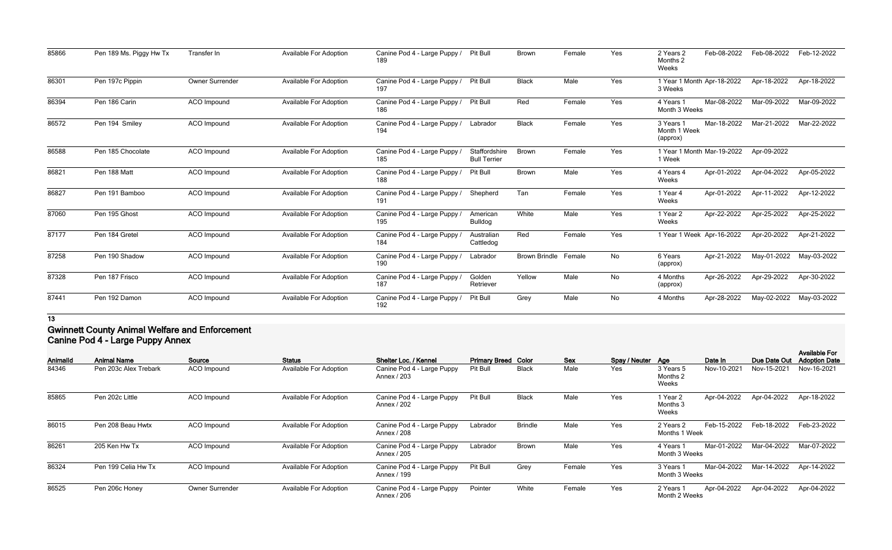| 85866 | Pen 189 Ms. Piggy Hw Tx | Transfer In        | <b>Available For Adoption</b> | Canine Pod 4 - Large Puppy /<br>189 | Pit Bull                             | <b>Brown</b>         | Female | Yes       | 2 Years 2<br>Months 2<br>Weeks        | Feb-08-2022 | Feb-08-2022 | Feb-12-2022 |
|-------|-------------------------|--------------------|-------------------------------|-------------------------------------|--------------------------------------|----------------------|--------|-----------|---------------------------------------|-------------|-------------|-------------|
| 86301 | Pen 197c Pippin         | Owner Surrender    | <b>Available For Adoption</b> | Canine Pod 4 - Large Puppy /<br>197 | Pit Bull                             | <b>Black</b>         | Male   | Yes       | 1 Year 1 Month Apr-18-2022<br>3 Weeks |             | Apr-18-2022 | Apr-18-2022 |
| 86394 | Pen 186 Carin           | <b>ACO</b> Impound | <b>Available For Adoption</b> | Canine Pod 4 - Large Puppy /<br>186 | <b>Pit Bull</b>                      | Red                  | Female | Yes       | 4 Years 1<br>Month 3 Weeks            | Mar-08-2022 | Mar-09-2022 | Mar-09-2022 |
| 86572 | Pen 194 Smiley          | <b>ACO</b> Impound | <b>Available For Adoption</b> | Canine Pod 4 - Large Puppy /<br>194 | Labrador                             | <b>Black</b>         | Female | Yes       | 3 Years 1<br>Month 1 Week<br>(approx) | Mar-18-2022 | Mar-21-2022 | Mar-22-2022 |
| 86588 | Pen 185 Chocolate       | <b>ACO</b> Impound | <b>Available For Adoption</b> | Canine Pod 4 - Large Puppy /<br>185 | Staffordshire<br><b>Bull Terrier</b> | <b>Brown</b>         | Female | Yes       | 1 Year 1 Month Mar-19-2022<br>1 Week  |             | Apr-09-2022 |             |
| 86821 | Pen 188 Matt            | <b>ACO</b> Impound | <b>Available For Adoption</b> | Canine Pod 4 - Large Puppy /<br>188 | Pit Bull                             | <b>Brown</b>         | Male   | Yes       | 4 Years 4<br>Weeks                    | Apr-01-2022 | Apr-04-2022 | Apr-05-2022 |
| 86827 | Pen 191 Bamboo          | <b>ACO</b> Impound | <b>Available For Adoption</b> | Canine Pod 4 - Large Puppy /<br>191 | Shepherd                             | Tan                  | Female | Yes       | 1 Year 4<br>Weeks                     | Apr-01-2022 | Apr-11-2022 | Apr-12-2022 |
| 87060 | Pen 195 Ghost           | <b>ACO</b> Impound | <b>Available For Adoption</b> | Canine Pod 4 - Large Puppy /<br>195 | American<br><b>Bulldog</b>           | White                | Male   | Yes       | 1 Year 2<br>Weeks                     | Apr-22-2022 | Apr-25-2022 | Apr-25-2022 |
| 87177 | Pen 184 Gretel          | <b>ACO</b> Impound | <b>Available For Adoption</b> | Canine Pod 4 - Large Puppy /<br>184 | Australian<br>Cattledog              | Red                  | Female | Yes       | 1 Year 1 Week Apr-16-2022             |             | Apr-20-2022 | Apr-21-2022 |
| 87258 | Pen 190 Shadow          | <b>ACO</b> Impound | <b>Available For Adoption</b> | Canine Pod 4 - Large Puppy /<br>190 | Labrador                             | <b>Brown Brindle</b> | Female | <b>No</b> | 6 Years<br>(approx)                   | Apr-21-2022 | May-01-2022 | May-03-2022 |
| 87328 | Pen 187 Frisco          | <b>ACO</b> Impound | <b>Available For Adoption</b> | Canine Pod 4 - Large Puppy /<br>187 | Golden<br>Retriever                  | Yellow               | Male   | No        | 4 Months<br>(approx)                  | Apr-26-2022 | Apr-29-2022 | Apr-30-2022 |
| 87441 | Pen 192 Damon           | <b>ACO</b> Impound | <b>Available For Adoption</b> | Canine Pod 4 - Large Puppy<br>192   | Pit Bull                             | Grey                 | Male   | No        | 4 Months                              | Apr-28-2022 | May-02-2022 | May-03-2022 |

# **Gwinnett County Animal Welfare and Enforcement Canine Pod 4 - Large Puppy Annex**

| Animalld | <b>Animal Name</b>    | Source                 | <b>Status</b>                 | Shelter Loc. / Kennel                     | <b>Primary Breed Color</b> |                | <b>Sex</b> | Spay / Neuter Age |                                | Date In     | Due Date Out | <b>Available For</b><br><b>Adoption Date</b> |
|----------|-----------------------|------------------------|-------------------------------|-------------------------------------------|----------------------------|----------------|------------|-------------------|--------------------------------|-------------|--------------|----------------------------------------------|
| 84346    | Pen 203c Alex Trebark | ACO Impound            | <b>Available For Adoption</b> | Canine Pod 4 - Large Puppy<br>Annex / 203 | Pit Bull                   | <b>Black</b>   | Male       | Yes               | 3 Years 5<br>Months 2<br>Weeks | Nov-10-2021 | Nov-15-2021  | Nov-16-2021                                  |
| 85865    | Pen 202c Little       | ACO Impound            | <b>Available For Adoption</b> | Canine Pod 4 - Large Puppy<br>Annex / 202 | Pit Bull                   | <b>Black</b>   | Male       | Yes               | 1 Year 2<br>Months 3<br>Weeks  | Apr-04-2022 | Apr-04-2022  | Apr-18-2022                                  |
| 86015    | Pen 208 Beau Hwtx     | ACO Impound            | <b>Available For Adoption</b> | Canine Pod 4 - Large Puppy<br>Annex / 208 | Labrador                   | <b>Brindle</b> | Male       | Yes               | 2 Years 2<br>Months 1 Week     | Feb-15-2022 | Feb-18-2022  | Feb-23-2022                                  |
| 86261    | 205 Ken Hw Tx         | <b>ACO</b> Impound     | <b>Available For Adoption</b> | Canine Pod 4 - Large Puppy<br>Annex / 205 | Labrador                   | <b>Brown</b>   | Male       | Yes               | 4 Years 1<br>Month 3 Weeks     | Mar-01-2022 | Mar-04-2022  | Mar-07-2022                                  |
| 86324    | Pen 199 Celia Hw Tx   | <b>ACO</b> Impound     | <b>Available For Adoption</b> | Canine Pod 4 - Large Puppy<br>Annex / 199 | Pit Bull                   | Grey           | Female     | Yes               | 3 Years 1<br>Month 3 Weeks     | Mar-04-2022 | Mar-14-2022  | Apr-14-2022                                  |
| 86525    | Pen 206c Honey        | <b>Owner Surrender</b> | <b>Available For Adoption</b> | Canine Pod 4 - Large Puppy<br>Annex / 206 | Pointer                    | White          | Female     | Yes               | 2 Years 1<br>Month 2 Weeks     | Apr-04-2022 | Apr-04-2022  | Apr-04-2022                                  |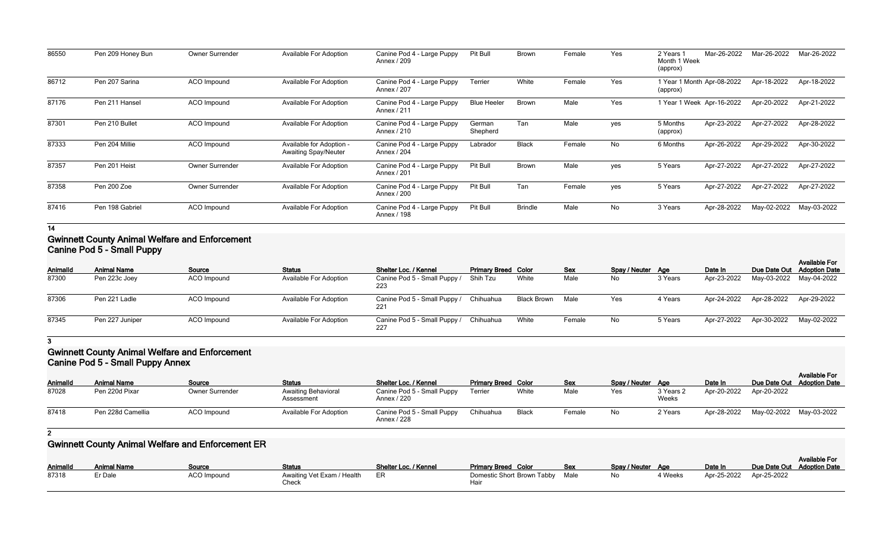| 86550 | Pen 209 Honey Bun | <b>Owner Surrender</b> | Available For Adoption                                  | Canine Pod 4 - Large Puppy<br>Annex / 209 | Pit Bull           | <b>Brown</b>   | Female | Yes       | 2 Years 1<br>Month 1 Week<br>(approx)  | Mar-26-2022 | Mar-26-2022 | Mar-26-2022 |
|-------|-------------------|------------------------|---------------------------------------------------------|-------------------------------------------|--------------------|----------------|--------|-----------|----------------------------------------|-------------|-------------|-------------|
| 86712 | Pen 207 Sarina    | ACO Impound            | <b>Available For Adoption</b>                           | Canine Pod 4 - Large Puppy<br>Annex / 207 | Terrier            | White          | Female | Yes       | 1 Year 1 Month Apr-08-2022<br>(approx) |             | Apr-18-2022 | Apr-18-2022 |
| 87176 | Pen 211 Hansel    | ACO Impound            | Available For Adoption                                  | Canine Pod 4 - Large Puppy<br>Annex / 211 | <b>Blue Heeler</b> | Brown          | Male   | Yes       | 1 Year 1 Week Apr-16-2022              |             | Apr-20-2022 | Apr-21-2022 |
| 87301 | Pen 210 Bullet    | ACO Impound            | Available For Adoption                                  | Canine Pod 4 - Large Puppy<br>Annex / 210 | German<br>Shepherd | Tan            | Male   | yes       | 5 Months<br>(approx)                   | Apr-23-2022 | Apr-27-2022 | Apr-28-2022 |
| 87333 | Pen 204 Millie    | ACO Impound            | Available for Adoption -<br><b>Awaiting Spay/Neuter</b> | Canine Pod 4 - Large Puppy<br>Annex / 204 | Labrador           | <b>Black</b>   | Female | <b>No</b> | 6 Months                               | Apr-26-2022 | Apr-29-2022 | Apr-30-2022 |
| 87357 | Pen 201 Heist     | <b>Owner Surrender</b> | Available For Adoption                                  | Canine Pod 4 - Large Puppy<br>Annex / 201 | Pit Bull           | <b>Brown</b>   | Male   | yes       | 5 Years                                | Apr-27-2022 | Apr-27-2022 | Apr-27-2022 |
| 87358 | Pen 200 Zoe       | <b>Owner Surrender</b> | Available For Adoption                                  | Canine Pod 4 - Large Puppy<br>Annex / 200 | Pit Bull           | Tan            | Female | yes       | 5 Years                                | Apr-27-2022 | Apr-27-2022 | Apr-27-2022 |
| 87416 | Pen 198 Gabriel   | <b>ACO</b> Impound     | <b>Available For Adoption</b>                           | Canine Pod 4 - Large Puppy<br>Annex / 198 | Pit Bull           | <b>Brindle</b> | Male   | No        | 3 Years                                | Apr-28-2022 | May-02-2022 | May-03-2022 |

# **Gwinnett County Animal Welfare and Enforcement Canine Pod 5 - Small Puppy**

| Animalld | <b>Animal Name</b> | Source      | <b>Status</b>                 | Shelter Loc. / Kennel        | <b>Primary Breed Color</b> |                    | <b>Sex</b> | Spay / Neuter Age |         | Date In     | Due Date Out Adoption Date          | <b>Available For</b> |
|----------|--------------------|-------------|-------------------------------|------------------------------|----------------------------|--------------------|------------|-------------------|---------|-------------|-------------------------------------|----------------------|
| 87300    | Pen 223c Joey      | ACO Impound | <b>Available For Adoption</b> | Canine Pod 5 - Small Puppy / | Shih Tzu                   | White              | Male       | No.               | 3 Years | Apr-23-2022 | May-03-2022 May-04-2022             |                      |
| 87306    | Pen 221 Ladle      | ACO Impound | <b>Available For Adoption</b> | Canine Pod 5 - Small Puppy / | Chihuahua                  | <b>Black Brown</b> | Male       | Yes               | 4 Years |             | Apr-24-2022 Apr-28-2022 Apr-29-2022 |                      |
| 87345    | Pen 227 Juniper    | ACO Impound | <b>Available For Adoption</b> | Canine Pod 5 - Small Puppy / | Chihuahua                  | White              | Female     | No                | 5 Years | Apr-27-2022 | Apr-30-2022                         | May-02-2022          |

#### **3**

# **Gwinnett County Animal Welfare and Enforcement Canine Pod 5 - Small Puppy Annex**

|                 | Ganine Pou 5 - Small Puppy Annex |                 |                                          |                                           |                            |              |            |                   |                    |                         |                                     |                                                    |
|-----------------|----------------------------------|-----------------|------------------------------------------|-------------------------------------------|----------------------------|--------------|------------|-------------------|--------------------|-------------------------|-------------------------------------|----------------------------------------------------|
| <b>AnimalId</b> | <b>Animal Name</b>               | Source          | <b>Status</b>                            | <b>Shelter Loc. / Kennel</b>              | <b>Primary Breed Color</b> |              | <b>Sex</b> | Spay / Neuter Age |                    | Date In                 |                                     | <b>Available For</b><br>Due Date Out Adoption Date |
| 87028           | Pen 220d Pixar                   | Owner Surrender | <b>Awaiting Behavioral</b><br>Assessment | Canine Pod 5 - Small Puppy<br>Annex / 220 | Terrier                    | White        | Male       | Yes               | 3 Years 2<br>Weeks | Apr-20-2022 Apr-20-2022 |                                     |                                                    |
| 87418           | Pen 228d Camellia                | ACO Impound     | <b>Available For Adoption</b>            | Canine Pod 5 - Small Puppy<br>Annex / 228 | Chihuahua                  | <b>Black</b> | Female     | No                | 2 Years            |                         | Apr-28-2022 May-02-2022 May-03-2022 |                                                    |
|                 |                                  |                 |                                          |                                           |                            |              |            |                   |                    |                         |                                     |                                                    |
|                 |                                  |                 |                                          |                                           |                            |              |            |                   |                    |                         |                                     |                                                    |

# **Gwinnett County Animal Welfare and Enforcement ER**

| <b>AnimalId</b> | <b>Animal Name</b> | <u>Source</u>      | <u>Status</u>                       | Shelter Loc. / Kennel | <b>Primary Breed Color</b> | <u>Sex</u> | Spay / Neuter Age |         | Date In     | Due Date Out |
|-----------------|--------------------|--------------------|-------------------------------------|-----------------------|----------------------------|------------|-------------------|---------|-------------|--------------|
| 87318           | r Dale             | <b>ACO Impound</b> | Awaiting Vet Exam / Health<br>Check |                       | Domestic Short Brown Tabby | Male       | No                | 4 Weeks | Apr-25-2022 | Apr-25-2022  |

| Color       | Sex  | Spay / Neuter | Aae     | Date In     |             | <b>Available For</b><br>Due Date Out Adoption Date |
|-------------|------|---------------|---------|-------------|-------------|----------------------------------------------------|
| Brown Tabby | Male | No            | 4 Weeks | Apr-25-2022 | Apr-25-2022 |                                                    |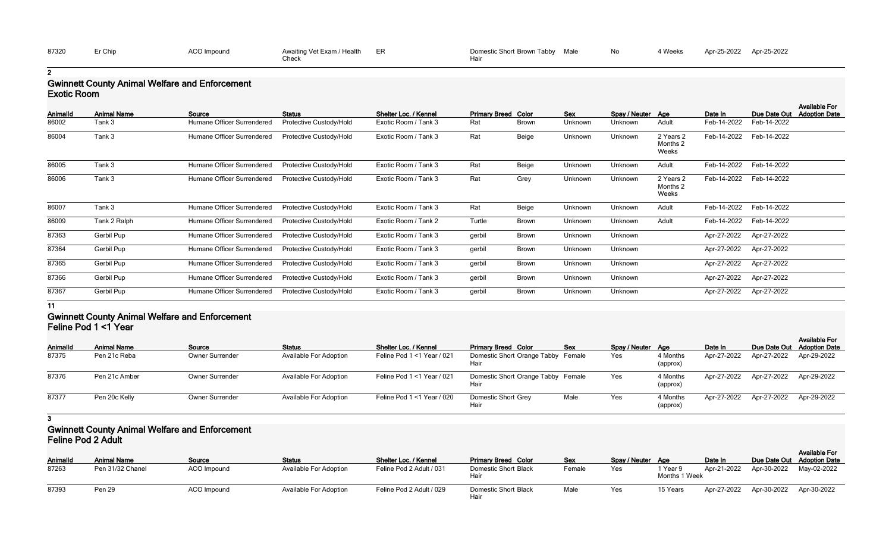| 87320 | Er Chip | ACO Impound | Awaiting Vet Exam / Health | ЕF | Domestic Short Brown Tabby | Male |
|-------|---------|-------------|----------------------------|----|----------------------------|------|
|       |         |             | Check                      |    | на                         |      |

# **Gwinnett County Animal Welfare and Enforcement Exotic Room**

| <b>EXOUC ROOM</b> |                    |                            |                         |                       |                            |              |         |                   |                                |             |              |                                              |
|-------------------|--------------------|----------------------------|-------------------------|-----------------------|----------------------------|--------------|---------|-------------------|--------------------------------|-------------|--------------|----------------------------------------------|
| Animalld          | <b>Animal Name</b> | Source                     | <b>Status</b>           | Shelter Loc. / Kennel | <b>Primary Breed Color</b> |              | Sex     | Spay / Neuter Age |                                | Date In     | Due Date Out | <b>Available For</b><br><b>Adoption Date</b> |
| 86002             | Tank 3             | Humane Officer Surrendered | Protective Custody/Hold | Exotic Room / Tank 3  | Rat                        | <b>Brown</b> | Unknown | Unknown           | Adult                          | Feb-14-2022 | Feb-14-2022  |                                              |
| 86004             | Tank 3             | Humane Officer Surrendered | Protective Custody/Hold | Exotic Room / Tank 3  | Rat                        | Beige        | Unknown | Unknown           | 2 Years 2<br>Months 2<br>Weeks | Feb-14-2022 | Feb-14-2022  |                                              |
| 86005             | Tank 3             | Humane Officer Surrendered | Protective Custody/Hold | Exotic Room / Tank 3  | Rat                        | Beige        | Unknown | Unknown           | Adult                          | Feb-14-2022 | Feb-14-2022  |                                              |
| 86006             | Tank 3             | Humane Officer Surrendered | Protective Custody/Hold | Exotic Room / Tank 3  | Rat                        | Grey         | Unknown | Unknown           | 2 Years 2<br>Months 2<br>Weeks | Feb-14-2022 | Feb-14-2022  |                                              |
| 86007             | Tank 3             | Humane Officer Surrendered | Protective Custody/Hold | Exotic Room / Tank 3  | Rat                        | Beige        | Unknown | Unknown           | Adult                          | Feb-14-2022 | Feb-14-2022  |                                              |
| 86009             | Tank 2 Ralph       | Humane Officer Surrendered | Protective Custody/Hold | Exotic Room / Tank 2  | Turtle                     | <b>Brown</b> | Unknown | Unknown           | Adult                          | Feb-14-2022 | Feb-14-2022  |                                              |
| 87363             | Gerbil Pup         | Humane Officer Surrendered | Protective Custody/Hold | Exotic Room / Tank 3  | gerbil                     | <b>Brown</b> | Unknown | Unknown           |                                | Apr-27-2022 | Apr-27-2022  |                                              |
| 87364             | Gerbil Pup         | Humane Officer Surrendered | Protective Custody/Hold | Exotic Room / Tank 3  | gerbil                     | <b>Brown</b> | Unknown | Unknown           |                                | Apr-27-2022 | Apr-27-2022  |                                              |
| 87365             | Gerbil Pup         | Humane Officer Surrendered | Protective Custody/Hold | Exotic Room / Tank 3  | gerbil                     | <b>Brown</b> | Unknown | Unknown           |                                | Apr-27-2022 | Apr-27-2022  |                                              |
| 87366             | Gerbil Pup         | Humane Officer Surrendered | Protective Custody/Hold | Exotic Room / Tank 3  | gerbil                     | <b>Brown</b> | Unknown | Unknown           |                                | Apr-27-2022 | Apr-27-2022  |                                              |
| 87367             | Gerbil Pup         | Humane Officer Surrendered | Protective Custody/Hold | Exotic Room / Tank 3  | gerbil                     | <b>Brown</b> | Unknown | Unknown           |                                | Apr-27-2022 | Apr-27-2022  |                                              |

# **11**

## **Gwinnett County Animal Welfare and Enforcement Feline Pod 1 <1 Year**

| <b>AnimalId</b> | <b>Animal Name</b> | Source          | <b>Status</b>                 | <b>Shelter Loc. / Kennel</b> | <b>Primary Breed Color</b>                 | <b>Sex</b> | Spay / Neuter Age |                      | Date In     |             | <b>Available For</b><br>Due Date Out Adoption Date |
|-----------------|--------------------|-----------------|-------------------------------|------------------------------|--------------------------------------------|------------|-------------------|----------------------|-------------|-------------|----------------------------------------------------|
| 87375           | Pen 21c Reba       | Owner Surrender | <b>Available For Adoption</b> | Feline Pod 1 <1 Year / 021   | Domestic Short Orange Tabby Female<br>Hair |            | Yes               | 4 Months<br>(approx) | Apr-27-2022 | Apr-27-2022 | Apr-29-2022                                        |
| 87376           | Pen 21c Amber      | Owner Surrender | <b>Available For Adoption</b> | Feline Pod 1 <1 Year / 021   | Domestic Short Orange Tabby Female<br>Hair |            | Yes               | 4 Months<br>(approx) | Apr-27-2022 | Apr-27-2022 | Apr-29-2022                                        |
| 87377           | Pen 20c Kelly      | Owner Surrender | <b>Available For Adoption</b> | Feline Pod 1 <1 Year / 020   | Domestic Short Grey<br>Hair                | Male       | Yes               | 4 Months<br>(approx) | Apr-27-2022 | Apr-27-2022 | Apr-29-2022                                        |

# **3**

# **Gwinnett County Animal Welfare and Enforcement Feline Pod 2 Adult**

|                 | $\sim$ . The state of $\sim$ . The state of $\sim$ |             |                               |                          |                              |            |                   |                         |             |             |                                                    |
|-----------------|----------------------------------------------------|-------------|-------------------------------|--------------------------|------------------------------|------------|-------------------|-------------------------|-------------|-------------|----------------------------------------------------|
| <b>AnimalId</b> | <b>Animal Name</b>                                 | Source      | <b>Status</b>                 | Shelter Loc. / Kennel    | <b>Primary Breed Color</b>   | <b>Sex</b> | Spay / Neuter Age |                         | Date In     |             | <b>Available For</b><br>Due Date Out Adoption Date |
| 87263           | Pen 31/32 Chanel                                   | ACO Impound | <b>Available For Adoption</b> | Feline Pod 2 Adult / 031 | Domestic Short Black<br>Hair | Female     | Yes               | Year 9<br>Months 1 Week | Apr-21-2022 | Apr-30-2022 | May-02-2022                                        |
| 87393           | Pen 29                                             | ACO Impound | Available For Adoption        | Feline Pod 2 Adult / 029 | Domestic Short Black<br>Hair | Male       | Yes               | 15 Years                | Apr-27-2022 | Apr-30-2022 | Apr-30-2022                                        |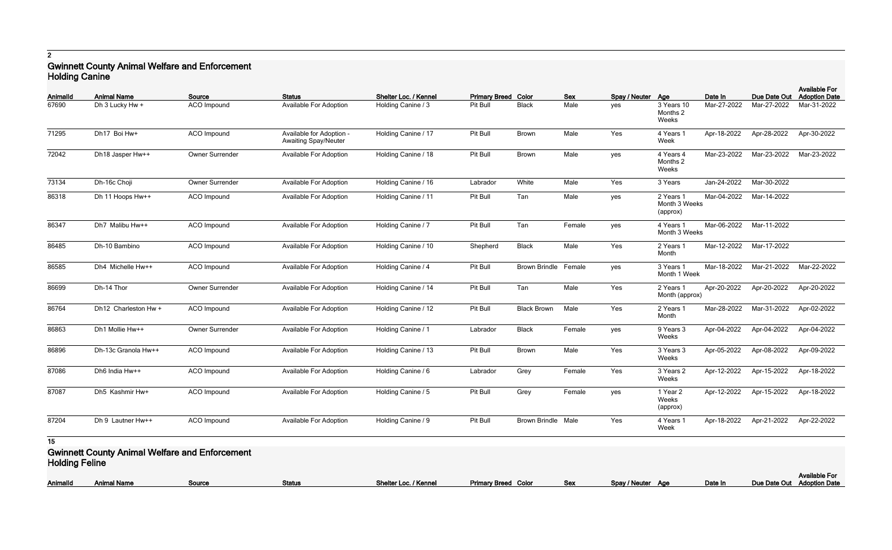# **2 Gwinnett County Animal Welfare and Enforcement Holding Canine**

| Animalld              | <b>Animal Name</b>                                    | Source             | <b>Status</b>                                           | Shelter Loc. / Kennel | <b>Primary Breed Color</b> |                           | <b>Sex</b> | Spay / Neuter Age |                                        | Date In     | Due Date Out | <b>Available For</b><br><b>Adoption Date</b>       |
|-----------------------|-------------------------------------------------------|--------------------|---------------------------------------------------------|-----------------------|----------------------------|---------------------------|------------|-------------------|----------------------------------------|-------------|--------------|----------------------------------------------------|
| 67690                 | Dh 3 Lucky Hw +                                       | <b>ACO</b> Impound | Available For Adoption                                  | Holding Canine / 3    | Pit Bull                   | <b>Black</b>              | Male       | yes               | 3 Years 10<br>Months 2<br>Weeks        | Mar-27-2022 | Mar-27-2022  | Mar-31-2022                                        |
| 71295                 | Dh17 Boi Hw+                                          | ACO Impound        | Available for Adoption -<br><b>Awaiting Spay/Neuter</b> | Holding Canine / 17   | Pit Bull                   | <b>Brown</b>              | Male       | Yes               | 4 Years 1<br>Week                      | Apr-18-2022 | Apr-28-2022  | Apr-30-2022                                        |
| 72042                 | Dh18 Jasper Hw++                                      | Owner Surrender    | Available For Adoption                                  | Holding Canine / 18   | Pit Bull                   | <b>Brown</b>              | Male       | yes               | 4 Years 4<br>Months 2<br>Weeks         | Mar-23-2022 | Mar-23-2022  | Mar-23-2022                                        |
| 73134                 | Dh-16c Choji                                          | Owner Surrender    | Available For Adoption                                  | Holding Canine / 16   | Labrador                   | White                     | Male       | Yes               | 3 Years                                | Jan-24-2022 | Mar-30-2022  |                                                    |
| 86318                 | Dh 11 Hoops Hw++                                      | ACO Impound        | <b>Available For Adoption</b>                           | Holding Canine / 11   | Pit Bull                   | Tan                       | Male       | yes               | 2 Years 1<br>Month 3 Weeks<br>(approx) | Mar-04-2022 | Mar-14-2022  |                                                    |
| 86347                 | Dh7 Malibu Hw++                                       | <b>ACO</b> Impound | Available For Adoption                                  | Holding Canine / 7    | Pit Bull                   | Tan                       | Female     | yes               | 4 Years 1<br>Month 3 Weeks             | Mar-06-2022 | Mar-11-2022  |                                                    |
| 86485                 | Dh-10 Bambino                                         | ACO Impound        | Available For Adoption                                  | Holding Canine / 10   | Shepherd                   | <b>Black</b>              | Male       | Yes               | 2 Years 1<br>Month                     | Mar-12-2022 | Mar-17-2022  |                                                    |
| 86585                 | Dh4 Michelle Hw++                                     | ACO Impound        | Available For Adoption                                  | Holding Canine / 4    | Pit Bull                   | <b>Brown Brindle</b>      | Female     | yes               | 3 Years 1<br>Month 1 Week              | Mar-18-2022 | Mar-21-2022  | Mar-22-2022                                        |
| 86699                 | Dh-14 Thor                                            | Owner Surrender    | Available For Adoption                                  | Holding Canine / 14   | Pit Bull                   | Tan                       | Male       | Yes               | 2 Years 1<br>Month (approx)            | Apr-20-2022 | Apr-20-2022  | Apr-20-2022                                        |
| 86764                 | Dh12 Charleston Hw +                                  | ACO Impound        | Available For Adoption                                  | Holding Canine / 12   | Pit Bull                   | <b>Black Brown</b>        | Male       | Yes               | 2 Years 1<br>Month                     | Mar-28-2022 | Mar-31-2022  | Apr-02-2022                                        |
| 86863                 | Dh1 Mollie Hw++                                       | Owner Surrender    | Available For Adoption                                  | Holding Canine / 1    | Labrador                   | <b>Black</b>              | Female     | yes               | 9 Years 3<br>Weeks                     | Apr-04-2022 | Apr-04-2022  | Apr-04-2022                                        |
| 86896                 | Dh-13c Granola Hw++                                   | ACO Impound        | <b>Available For Adoption</b>                           | Holding Canine / 13   | Pit Bull                   | <b>Brown</b>              | Male       | Yes               | 3 Years 3<br>Weeks                     | Apr-05-2022 | Apr-08-2022  | Apr-09-2022                                        |
| 87086                 | Dh6 India Hw++                                        | ACO Impound        | <b>Available For Adoption</b>                           | Holding Canine / 6    | Labrador                   | Grey                      | Female     | Yes               | 3 Years 2<br>Weeks                     | Apr-12-2022 | Apr-15-2022  | Apr-18-2022                                        |
| 87087                 | Dh5 Kashmir Hw+                                       | ACO Impound        | <b>Available For Adoption</b>                           | Holding Canine / 5    | Pit Bull                   | Grey                      | Female     | yes               | 1 Year 2<br>Weeks<br>(approx)          | Apr-12-2022 | Apr-15-2022  | Apr-18-2022                                        |
| 87204                 | Dh 9 Lautner Hw++                                     | ACO Impound        | <b>Available For Adoption</b>                           | Holding Canine / 9    | Pit Bull                   | <b>Brown Brindle Male</b> |            | Yes               | 4 Years 1<br>Week                      | Apr-18-2022 | Apr-21-2022  | Apr-22-2022                                        |
| 15                    |                                                       |                    |                                                         |                       |                            |                           |            |                   |                                        |             |              |                                                    |
| <b>Holding Feline</b> | <b>Gwinnett County Animal Welfare and Enforcement</b> |                    |                                                         |                       |                            |                           |            |                   |                                        |             |              |                                                    |
| Animalld              | <b>Animal Name</b>                                    | Source             | <b>Status</b>                                           | Shelter Loc. / Kennel | <b>Primary Breed Color</b> |                           | Sex        | Spay / Neuter Age |                                        | Date In     |              | <b>Available For</b><br>Due Date Out Adoption Date |

|                 |         | <b>Available For</b>       |
|-----------------|---------|----------------------------|
| Spay/Neuter Age | Date In | Due Date Out Adoption Date |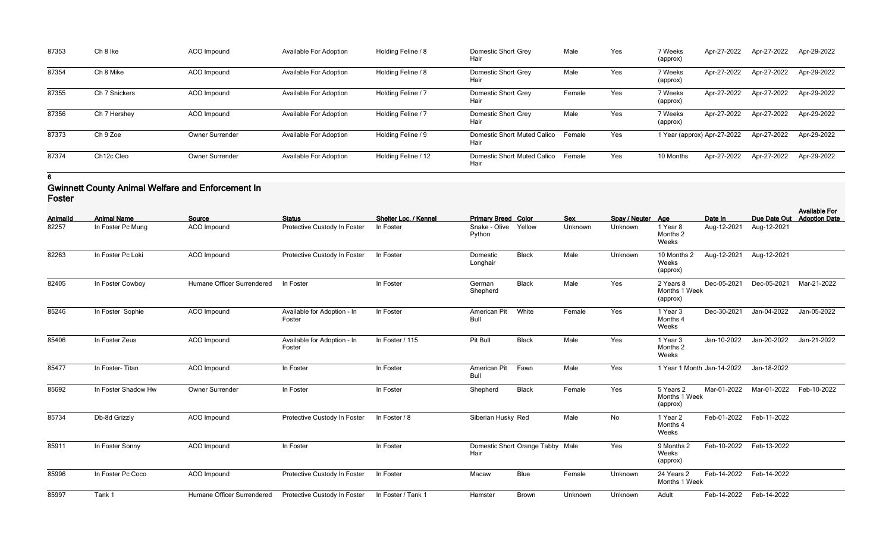| 87353 | Ch 8 lke               | ACO Impound        | <b>Available For Adoption</b> | Holding Feline / 8  | Domestic Short Grey<br>Hair         | Male   | Yes | 7 Weeks<br>(approx) | Apr-27-2022                 | Apr-27-2022 | Apr-29-2022 |
|-------|------------------------|--------------------|-------------------------------|---------------------|-------------------------------------|--------|-----|---------------------|-----------------------------|-------------|-------------|
| 87354 | Ch 8 Mike              | ACO Impound        | <b>Available For Adoption</b> | Holding Feline / 8  | Domestic Short Grey<br>Hair         | Male   | Yes | 7 Weeks<br>(approx) | Apr-27-2022                 | Apr-27-2022 | Apr-29-2022 |
| 87355 | Ch 7 Snickers          | <b>ACO</b> Impound | <b>Available For Adoption</b> | Holding Feline / 7  | Domestic Short Grey<br>Hair         | Female | Yes | 7 Weeks<br>(approx) | Apr-27-2022                 | Apr-27-2022 | Apr-29-2022 |
| 87356 | Ch 7 Hershey           | ACO Impound        | <b>Available For Adoption</b> | Holding Feline / 7  | Domestic Short Grey<br>Hair         | Male   | Yes | 7 Weeks<br>(approx) | Apr-27-2022                 | Apr-27-2022 | Apr-29-2022 |
| 87373 | Ch 9 Zoe               | Owner Surrender    | <b>Available For Adoption</b> | Holding Feline / 9  | Domestic Short Muted Calico<br>Hair | Female | Yes |                     | 1 Year (approx) Apr-27-2022 | Apr-27-2022 | Apr-29-2022 |
| 87374 | Ch <sub>12c</sub> Cleo | Owner Surrender    | <b>Available For Adoption</b> | Holding Feline / 12 | Domestic Short Muted Calico<br>Hair | Female | Yes | 10 Months           | Apr-27-2022                 | Apr-27-2022 | Apr-29-2022 |

### **Gwinnett County Animal Welfare and Enforcement In Foster**

| Animalld | <b>Animal Name</b>  | Source                     | <b>Status</b>                         | Shelter Loc. / Kennel | <b>Primary Breed Color</b>         |                                  | Sex     | Spay / Neuter Age |                                        | Date In     | Due Date Out | <b>Available For</b><br><b>Adoption Date</b> |
|----------|---------------------|----------------------------|---------------------------------------|-----------------------|------------------------------------|----------------------------------|---------|-------------------|----------------------------------------|-------------|--------------|----------------------------------------------|
| 82257    | In Foster Pc Mung   | ACO Impound                | Protective Custody In Foster          | In Foster             | Snake - Olive<br>Python            | Yellow                           | Unknown | Unknown           | 1 Year 8<br>Months 2<br>Weeks          | Aug-12-2021 | Aug-12-2021  |                                              |
| 82263    | In Foster Pc Loki   | <b>ACO</b> Impound         | Protective Custody In Foster          | In Foster             | Domestic<br>Longhair               | <b>Black</b>                     | Male    | Unknown           | 10 Months 2<br>Weeks<br>(approx)       | Aug-12-2021 | Aug-12-2021  |                                              |
| 82405    | In Foster Cowboy    | Humane Officer Surrendered | In Foster                             | In Foster             | German<br>Shepherd                 | <b>Black</b>                     | Male    | Yes               | 2 Years 8<br>Months 1 Week<br>(approx) | Dec-05-2021 | Dec-05-2021  | Mar-21-2022                                  |
| 85246    | In Foster Sophie    | <b>ACO</b> Impound         | Available for Adoption - In<br>Foster | In Foster             | American Pit<br><b>Bull</b>        | White                            | Female  | Yes               | 1 Year 3<br>Months 4<br>Weeks          | Dec-30-2021 | Jan-04-2022  | Jan-05-2022                                  |
| 85406    | In Foster Zeus      | ACO Impound                | Available for Adoption - In<br>Foster | In Foster / 115       | Pit Bull                           | <b>Black</b>                     | Male    | Yes               | 1 Year 3<br>Months 2<br>Weeks          | Jan-10-2022 | Jan-20-2022  | Jan-21-2022                                  |
| 85477    | In Foster-Titan     | <b>ACO</b> Impound         | In Foster                             | In Foster             | <b>American Pit</b><br><b>Bull</b> | Fawn                             | Male    | Yes               | 1 Year 1 Month Jan-14-2022             |             | Jan-18-2022  |                                              |
| 85692    | In Foster Shadow Hw | Owner Surrender            | In Foster                             | In Foster             | Shepherd                           | <b>Black</b>                     | Female  | Yes               | 5 Years 2<br>Months 1 Week<br>(approx) | Mar-01-2022 | Mar-01-2022  | Feb-10-2022                                  |
| 85734    | Db-8d Grizzly       | ACO Impound                | Protective Custody In Foster          | In Foster / 8         | Siberian Husky Red                 |                                  | Male    | No                | 1 Year 2<br>Months 4<br>Weeks          | Feb-01-2022 | Feb-11-2022  |                                              |
| 85911    | In Foster Sonny     | ACO Impound                | In Foster                             | In Foster             | Hair                               | Domestic Short Orange Tabby Male |         | Yes               | 9 Months 2<br>Weeks<br>(approx)        | Feb-10-2022 | Feb-13-2022  |                                              |
| 85996    | In Foster Pc Coco   | <b>ACO</b> Impound         | Protective Custody In Foster          | In Foster             | Macaw                              | <b>Blue</b>                      | Female  | Unknown           | 24 Years 2<br>Months 1 Week            | Feb-14-2022 | Feb-14-2022  |                                              |
| 85997    | Tank 1              | Humane Officer Surrendered | Protective Custody In Foster          | In Foster / Tank 1    | Hamster                            | <b>Brown</b>                     | Unknown | Unknown           | Adult                                  | Feb-14-2022 | Feb-14-2022  |                                              |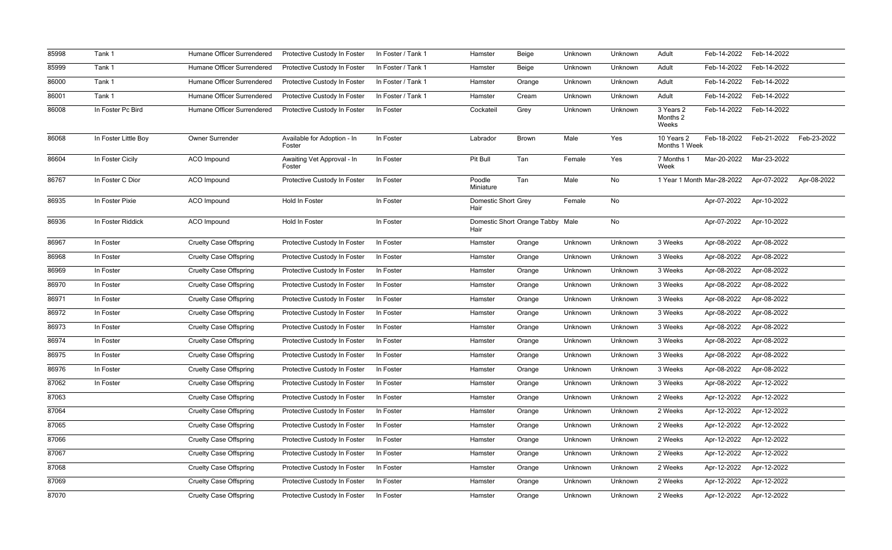| 85998 | Tank 1               | Humane Officer Surrendered    | Protective Custody In Foster          | In Foster / Tank 1 | Hamster                                  | Beige        | Unknown | Unknown | Adult                          | Feb-14-2022                | Feb-14-2022 |             |
|-------|----------------------|-------------------------------|---------------------------------------|--------------------|------------------------------------------|--------------|---------|---------|--------------------------------|----------------------------|-------------|-------------|
| 85999 | Tank 1               | Humane Officer Surrendered    | Protective Custody In Foster          | In Foster / Tank 1 | Hamster                                  | Beige        | Unknown | Unknown | Adult                          | Feb-14-2022                | Feb-14-2022 |             |
| 86000 | Tank 1               | Humane Officer Surrendered    | Protective Custody In Foster          | In Foster / Tank 1 | Hamster                                  | Orange       | Unknown | Unknown | Adult                          | Feb-14-2022                | Feb-14-2022 |             |
| 86001 | Tank 1               | Humane Officer Surrendered    | Protective Custody In Foster          | In Foster / Tank 1 | Hamster                                  | Cream        | Unknown | Unknown | Adult                          | Feb-14-2022                | Feb-14-2022 |             |
| 86008 | In Foster Pc Bird    | Humane Officer Surrendered    | Protective Custody In Foster          | In Foster          | Cockateil                                | Grey         | Unknown | Unknown | 3 Years 2<br>Months 2<br>Weeks | Feb-14-2022                | Feb-14-2022 |             |
| 86068 | In Foster Little Boy | Owner Surrender               | Available for Adoption - In<br>Foster | In Foster          | Labrador                                 | <b>Brown</b> | Male    | Yes     | 10 Years 2<br>Months 1 Week    | Feb-18-2022                | Feb-21-2022 | Feb-23-2022 |
| 86604 | In Foster Cicily     | <b>ACO</b> Impound            | Awaiting Vet Approval - In<br>Foster  | In Foster          | Pit Bull                                 | Tan          | Female  | Yes     | 7 Months 1<br>Week             | Mar-20-2022                | Mar-23-2022 |             |
| 86767 | In Foster C Dior     | <b>ACO</b> Impound            | Protective Custody In Foster          | In Foster          | Poodle<br>Miniature                      | Tan          | Male    | No      |                                | 1 Year 1 Month Mar-28-2022 | Apr-07-2022 | Apr-08-2022 |
| 86935 | In Foster Pixie      | <b>ACO</b> Impound            | Hold In Foster                        | In Foster          | <b>Domestic Short Grey</b><br>Hair       |              | Female  | No      |                                | Apr-07-2022                | Apr-10-2022 |             |
| 86936 | In Foster Riddick    | <b>ACO</b> Impound            | Hold In Foster                        | In Foster          | Domestic Short Orange Tabby Male<br>Hair |              |         | No      |                                | Apr-07-2022                | Apr-10-2022 |             |
| 86967 | In Foster            | <b>Cruelty Case Offspring</b> | Protective Custody In Foster          | In Foster          | Hamster                                  | Orange       | Unknown | Unknown | 3 Weeks                        | Apr-08-2022                | Apr-08-2022 |             |
| 86968 | In Foster            | <b>Cruelty Case Offspring</b> | Protective Custody In Foster          | In Foster          | Hamster                                  | Orange       | Unknown | Unknown | 3 Weeks                        | Apr-08-2022                | Apr-08-2022 |             |
| 86969 | In Foster            | <b>Cruelty Case Offspring</b> | Protective Custody In Foster          | In Foster          | Hamster                                  | Orange       | Unknown | Unknown | 3 Weeks                        | Apr-08-2022                | Apr-08-2022 |             |
| 86970 | In Foster            | <b>Cruelty Case Offspring</b> | Protective Custody In Foster          | In Foster          | Hamster                                  | Orange       | Unknown | Unknown | 3 Weeks                        | Apr-08-2022                | Apr-08-2022 |             |
| 86971 | In Foster            | <b>Cruelty Case Offspring</b> | Protective Custody In Foster          | In Foster          | Hamster                                  | Orange       | Unknown | Unknown | 3 Weeks                        | Apr-08-2022                | Apr-08-2022 |             |
| 86972 | In Foster            | <b>Cruelty Case Offspring</b> | Protective Custody In Foster          | In Foster          | Hamster                                  | Orange       | Unknown | Unknown | 3 Weeks                        | Apr-08-2022                | Apr-08-2022 |             |
| 86973 | In Foster            | <b>Cruelty Case Offspring</b> | Protective Custody In Foster          | In Foster          | Hamster                                  | Orange       | Unknown | Unknown | 3 Weeks                        | Apr-08-2022                | Apr-08-2022 |             |
| 86974 | In Foster            | <b>Cruelty Case Offspring</b> | Protective Custody In Foster          | In Foster          | Hamster                                  | Orange       | Unknown | Unknown | 3 Weeks                        | Apr-08-2022                | Apr-08-2022 |             |
| 86975 | In Foster            | <b>Cruelty Case Offspring</b> | Protective Custody In Foster          | In Foster          | Hamster                                  | Orange       | Unknown | Unknown | 3 Weeks                        | Apr-08-2022                | Apr-08-2022 |             |
| 86976 | In Foster            | <b>Cruelty Case Offspring</b> | Protective Custody In Foster          | In Foster          | Hamster                                  | Orange       | Unknown | Unknown | 3 Weeks                        | Apr-08-2022                | Apr-08-2022 |             |
| 87062 | In Foster            | <b>Cruelty Case Offspring</b> | Protective Custody In Foster          | In Foster          | Hamster                                  | Orange       | Unknown | Unknown | 3 Weeks                        | Apr-08-2022                | Apr-12-2022 |             |
| 87063 |                      | <b>Cruelty Case Offspring</b> | Protective Custody In Foster          | In Foster          | Hamster                                  | Orange       | Unknown | Unknown | 2 Weeks                        | Apr-12-2022                | Apr-12-2022 |             |
| 87064 |                      | <b>Cruelty Case Offspring</b> | Protective Custody In Foster          | In Foster          | Hamster                                  | Orange       | Unknown | Unknown | 2 Weeks                        | Apr-12-2022                | Apr-12-2022 |             |
| 87065 |                      | <b>Cruelty Case Offspring</b> | Protective Custody In Foster          | In Foster          | Hamster                                  | Orange       | Unknown | Unknown | 2 Weeks                        | Apr-12-2022                | Apr-12-2022 |             |
| 87066 |                      | <b>Cruelty Case Offspring</b> | Protective Custody In Foster          | In Foster          | Hamster                                  | Orange       | Unknown | Unknown | 2 Weeks                        | Apr-12-2022                | Apr-12-2022 |             |
| 87067 |                      | <b>Cruelty Case Offspring</b> | Protective Custody In Foster          | In Foster          | Hamster                                  | Orange       | Unknown | Unknown | 2 Weeks                        | Apr-12-2022                | Apr-12-2022 |             |
| 87068 |                      | <b>Cruelty Case Offspring</b> | Protective Custody In Foster          | In Foster          | Hamster                                  | Orange       | Unknown | Unknown | 2 Weeks                        | Apr-12-2022                | Apr-12-2022 |             |
| 87069 |                      | <b>Cruelty Case Offspring</b> | Protective Custody In Foster          | In Foster          | Hamster                                  | Orange       | Unknown | Unknown | 2 Weeks                        | Apr-12-2022                | Apr-12-2022 |             |
| 87070 |                      | <b>Cruelty Case Offspring</b> | Protective Custody In Foster          | In Foster          | Hamster                                  | Orange       | Unknown | Unknown | 2 Weeks                        | Apr-12-2022                | Apr-12-2022 |             |
|       |                      |                               |                                       |                    |                                          |              |         |         |                                |                            |             |             |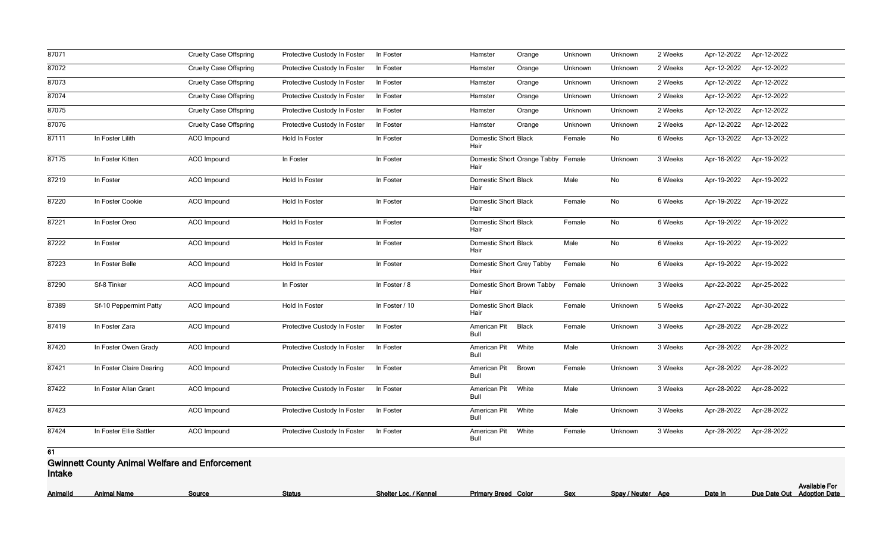| <b>AnimalId</b> | <b>Animal Name</b>                                    | Source                        | <b>Status</b>                | Shelter Loc. / Kennel | <b>Primary Breed Color</b>           | Sex     | Spay / Neuter Age |         | Date In     | <b>Available For</b><br><b>Adoption Date</b><br>Due Date Out |
|-----------------|-------------------------------------------------------|-------------------------------|------------------------------|-----------------------|--------------------------------------|---------|-------------------|---------|-------------|--------------------------------------------------------------|
| Intake          | <b>Gwinnett County Animal Welfare and Enforcement</b> |                               |                              |                       |                                      |         |                   |         |             |                                                              |
| 87424<br>61     | In Foster Ellie Sattler                               | ACO Impound                   | Protective Custody In Foster | In Foster             | American Pit<br>White<br>Bull        | Female  | Unknown           | 3 Weeks | Apr-28-2022 | Apr-28-2022                                                  |
| 87423           |                                                       | ACO Impound                   | Protective Custody In Foster | In Foster             | American Pit<br>White<br>Bull        | Male    | Unknown           | 3 Weeks | Apr-28-2022 | Apr-28-2022                                                  |
| 87422           | In Foster Allan Grant                                 | ACO Impound                   | Protective Custody In Foster | In Foster             | American Pit<br>White<br>Bull        | Male    | Unknown           | 3 Weeks | Apr-28-2022 | Apr-28-2022                                                  |
| 87421           | In Foster Claire Dearing                              | ACO Impound                   | Protective Custody In Foster | In Foster             | American Pit<br>Brown<br>Bull        | Female  | Unknown           | 3 Weeks | Apr-28-2022 | Apr-28-2022                                                  |
| 87420           | In Foster Owen Grady                                  | ACO Impound                   | Protective Custody In Foster | In Foster             | American Pit<br>White<br>Bull        | Male    | Unknown           | 3 Weeks | Apr-28-2022 | Apr-28-2022                                                  |
| 87419           | In Foster Zara                                        | <b>ACO</b> Impound            | Protective Custody In Foster | In Foster             | American Pit<br><b>Black</b><br>Bull | Female  | Unknown           | 3 Weeks | Apr-28-2022 | Apr-28-2022                                                  |
| 87389           | Sf-10 Peppermint Patty                                | ACO Impound                   | Hold In Foster               | In Foster / 10        | <b>Domestic Short Black</b><br>Hair  | Female  | Unknown           | 5 Weeks | Apr-27-2022 | Apr-30-2022                                                  |
| 87290           | Sf-8 Tinker                                           | ACO Impound                   | In Foster                    | In Foster / 8         | Domestic Short Brown Tabby<br>Hair   | Female  | Unknown           | 3 Weeks | Apr-22-2022 | Apr-25-2022                                                  |
| 87223           | In Foster Belle                                       | <b>ACO</b> Impound            | Hold In Foster               | In Foster             | Domestic Short Grey Tabby<br>Hair    | Female  | No                | 6 Weeks | Apr-19-2022 | Apr-19-2022                                                  |
| 87222           | In Foster                                             | ACO Impound                   | Hold In Foster               | In Foster             | <b>Domestic Short Black</b><br>Hair  | Male    | No                | 6 Weeks | Apr-19-2022 | Apr-19-2022                                                  |
| 87221           | In Foster Oreo                                        | ACO Impound                   | Hold In Foster               | In Foster             | <b>Domestic Short Black</b><br>Hair  | Female  | No                | 6 Weeks | Apr-19-2022 | Apr-19-2022                                                  |
| 87220           | In Foster Cookie                                      | ACO Impound                   | Hold In Foster               | In Foster             | <b>Domestic Short Black</b><br>Hair  | Female  | No                | 6 Weeks | Apr-19-2022 | Apr-19-2022                                                  |
| 87219           | In Foster                                             | ACO Impound                   | Hold In Foster               | In Foster             | <b>Domestic Short Black</b><br>Hair  | Male    | No                | 6 Weeks | Apr-19-2022 | Apr-19-2022                                                  |
| 87175           | In Foster Kitten                                      | ACO Impound                   | In Foster                    | In Foster             | Domestic Short Orange Tabby<br>Hair  | Female  | Unknown           | 3 Weeks | Apr-16-2022 | Apr-19-2022                                                  |
| 87111           | In Foster Lilith                                      | <b>ACO</b> Impound            | Hold In Foster               | In Foster             | <b>Domestic Short Black</b><br>Hair  | Female  | No                | 6 Weeks | Apr-13-2022 | Apr-13-2022                                                  |
| 87076           |                                                       | <b>Cruelty Case Offspring</b> | Protective Custody In Foster | In Foster             | Orange<br>Hamster                    | Unknown | Unknown           | 2 Weeks | Apr-12-2022 | Apr-12-2022                                                  |
| 87075           |                                                       | <b>Cruelty Case Offspring</b> | Protective Custody In Foster | In Foster             | Hamster<br>Orange                    | Unknown | Unknown           | 2 Weeks | Apr-12-2022 | Apr-12-2022                                                  |
| 87074           |                                                       | <b>Cruelty Case Offspring</b> | Protective Custody In Foster | In Foster             | Hamster<br>Orange                    | Unknown | Unknown           | 2 Weeks | Apr-12-2022 | Apr-12-2022                                                  |
| 87073           |                                                       | <b>Cruelty Case Offspring</b> | Protective Custody In Foster | In Foster             | Orange<br>Hamster                    | Unknown | Unknown           | 2 Weeks | Apr-12-2022 | Apr-12-2022                                                  |
| 87072           |                                                       | <b>Cruelty Case Offspring</b> | Protective Custody In Foster | In Foster             | Hamster<br>Orange                    | Unknown | Unknown           | 2 Weeks | Apr-12-2022 | Apr-12-2022                                                  |
| 87071           |                                                       | <b>Cruelty Case Offspring</b> | Protective Custody In Foster | In Foster             | Orange<br>Hamster                    | Unknown | Unknown           | 2 Weeks | Apr-12-2022 | Apr-12-2022                                                  |

|               |     |         | <b>Available For</b>       |
|---------------|-----|---------|----------------------------|
| Spay / Neuter | Aae | Date In | Due Date Out Adoption Date |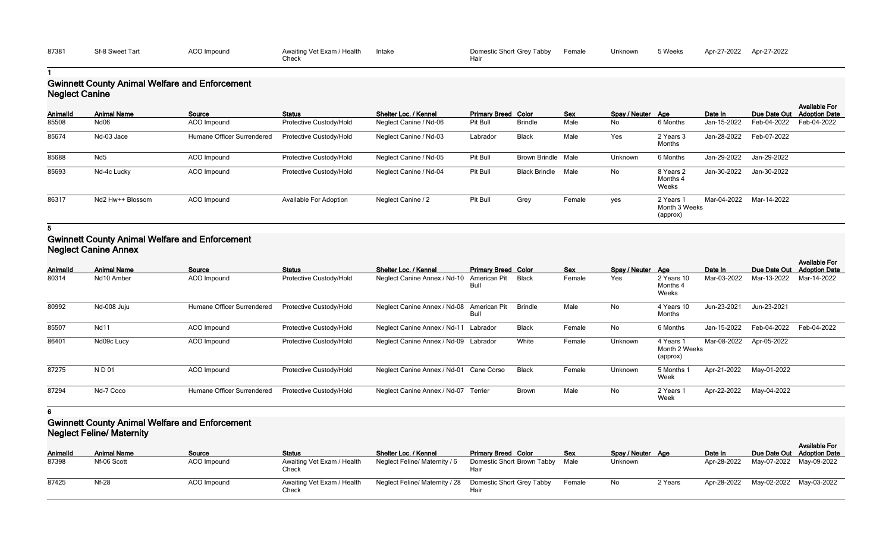| 87381 | Sf-8 Sweet Tart | <b>ACO Impound</b> | Awaiting Vet Exam / Health | Intake | Domestic Short Grey Tabby | Female |
|-------|-----------------|--------------------|----------------------------|--------|---------------------------|--------|
|       |                 |                    | ੋheck                      |        | Hair                      |        |

# **1 Gwinnett County Animal Welfare and Enforcement Neglect Canine**

| <b>Neglect Canine</b> |                    |                            |                               |                        |                            |                           |            |                   |                                        |             |              |                                              |
|-----------------------|--------------------|----------------------------|-------------------------------|------------------------|----------------------------|---------------------------|------------|-------------------|----------------------------------------|-------------|--------------|----------------------------------------------|
| <b>AnimalId</b>       | <b>Animal Name</b> | Source                     | <b>Status</b>                 | Shelter Loc. / Kennel  | <b>Primary Breed Color</b> |                           | <b>Sex</b> | Spay / Neuter Age |                                        | Date In     | Due Date Out | <b>Available For</b><br><b>Adoption Date</b> |
| 85508                 | Nd06               | ACO Impound                | Protective Custody/Hold       | Neglect Canine / Nd-06 | Pit Bull                   | <b>Brindle</b>            | Male       | No                | 6 Months                               | Jan-15-2022 | Feb-04-2022  | Feb-04-2022                                  |
| 85674                 | Nd-03 Jace         | Humane Officer Surrendered | Protective Custody/Hold       | Neglect Canine / Nd-03 | Labrador                   | <b>Black</b>              | Male       | Yes               | 2 Years 3<br>Months                    | Jan-28-2022 | Feb-07-2022  |                                              |
| 85688                 | Nd <sub>5</sub>    | ACO Impound                | Protective Custody/Hold       | Neglect Canine / Nd-05 | Pit Bull                   | <b>Brown Brindle Male</b> |            | Unknown           | 6 Months                               | Jan-29-2022 | Jan-29-2022  |                                              |
| 85693                 | Nd-4c Lucky        | ACO Impound                | Protective Custody/Hold       | Neglect Canine / Nd-04 | Pit Bull                   | <b>Black Brindle</b>      | Male       | No                | 8 Years 2<br>Months 4<br>Weeks         | Jan-30-2022 | Jan-30-2022  |                                              |
| 86317                 | Nd2 Hw++ Blossom   | ACO Impound                | <b>Available For Adoption</b> | Neglect Canine / 2     | Pit Bull                   | Grey                      | Female     | yes               | 2 Years 1<br>Month 3 Weeks<br>(approx) | Mar-04-2022 | Mar-14-2022  |                                              |

**5**

# **Gwinnett County Animal Welfare and Enforcement Neglect Canine Annex**

| <b>AnimalId</b> | <b>Animal Name</b> | Source                     | <b>Status</b>           | Shelter Loc. / Kennel                     | <b>Primary Breed Color</b>  |              | Sex    | Spay / Neuter Age |                                        | Date In     | Due Date Out | <b>Available For</b><br><b>Adoption Date</b> |
|-----------------|--------------------|----------------------------|-------------------------|-------------------------------------------|-----------------------------|--------------|--------|-------------------|----------------------------------------|-------------|--------------|----------------------------------------------|
| 80314           | Nd10 Amber         | ACO Impound                | Protective Custody/Hold | Neglect Canine Annex / Nd-10              | American Pit<br><b>Bull</b> | <b>Black</b> | Female | Yes               | 2 Years 10<br>Months 4<br>Weeks        | Mar-03-2022 | Mar-13-2022  | Mar-14-2022                                  |
| 80992           | Nd-008 Juju        | Humane Officer Surrendered | Protective Custody/Hold | Neglect Canine Annex / Nd-08 American Pit | <b>Bull</b>                 | Brindle      | Male   | No                | 4 Years 10<br>Months                   | Jun-23-2021 | Jun-23-2021  |                                              |
| 85507           | <b>Nd11</b>        | ACO Impound                | Protective Custody/Hold | Neglect Canine Annex / Nd-11 Labrador     |                             | <b>Black</b> | Female | No                | 6 Months                               | Jan-15-2022 | Feb-04-2022  | Feb-04-2022                                  |
| 86401           | Nd09c Lucy         | ACO Impound                | Protective Custody/Hold | Neglect Canine Annex / Nd-09 Labrador     |                             | White        | Female | Unknown           | 4 Years 1<br>Month 2 Weeks<br>(approx) | Mar-08-2022 | Apr-05-2022  |                                              |
| 87275           | N D 01             | ACO Impound                | Protective Custody/Hold | Neglect Canine Annex / Nd-01 Cane Corso   |                             | <b>Black</b> | Female | Unknown           | 5 Months<br>Week                       | Apr-21-2022 | May-01-2022  |                                              |
| 87294           | Nd-7 Coco          | Humane Officer Surrendered | Protective Custody/Hold | Neglect Canine Annex / Nd-07 Terrier      |                             | <b>Brown</b> | Male   | No                | 2 Years 1<br>Week                      | Apr-22-2022 | May-04-2022  |                                              |

**6**

# **Gwinnett County Animal Welfare and Enforcement Neglect Feline/ Maternity**

|                 | <b>Neglect Feline/ Maternity</b> |             |                                     |                                |                                         |        |                   |         |             |                         |                                                    |  |  |
|-----------------|----------------------------------|-------------|-------------------------------------|--------------------------------|-----------------------------------------|--------|-------------------|---------|-------------|-------------------------|----------------------------------------------------|--|--|
| <b>AnimalId</b> | <b>Animal Name</b>               | Source      | <b>Status</b>                       | Shelter Loc. / Kennel          | <b>Primary Breed Color</b>              | Sex    | Spay / Neuter Age |         | Date In     |                         | <b>Available For</b><br>Due Date Out Adoption Date |  |  |
| 87398           | Nf-06 Scott                      | ACO Impound | Awaiting Vet Exam / Health<br>Check | Neglect Feline/ Maternity / 6  | Domestic Short Brown Tabby Male<br>Hair |        | Unknown           |         | Apr-28-2022 | May-07-2022 May-09-2022 |                                                    |  |  |
| 87425           | <b>Nf-28</b>                     | ACO Impound | Awaiting Vet Exam / Health<br>Check | Neglect Feline/ Maternity / 28 | Domestic Short Grey Tabby<br>Hair       | Female | No                | 2 Years | Apr-28-2022 | May-02-2022 May-03-2022 |                                                    |  |  |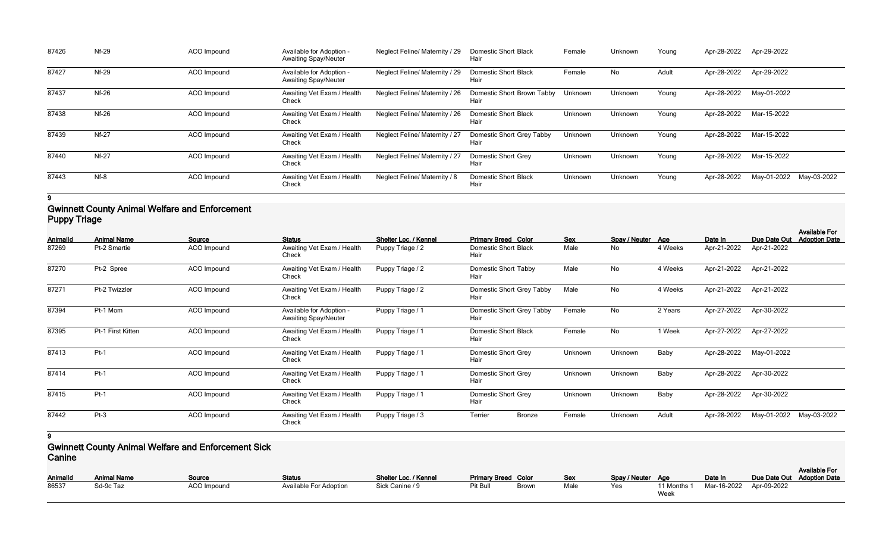| 87426 | <b>Nf-29</b> | ACO Impound        | Available for Adoption -<br><b>Awaiting Spay/Neuter</b> | Neglect Feline/ Maternity / 29 | <b>Domestic Short Black</b><br>Hair | Female  | Unknown   | Young | Apr-28-2022 | Apr-29-2022 |             |
|-------|--------------|--------------------|---------------------------------------------------------|--------------------------------|-------------------------------------|---------|-----------|-------|-------------|-------------|-------------|
| 87427 | <b>Nf-29</b> | <b>ACO</b> Impound | Available for Adoption -<br><b>Awaiting Spay/Neuter</b> | Neglect Feline/ Maternity / 29 | <b>Domestic Short Black</b><br>Hair | Female  | <b>No</b> | Adult | Apr-28-2022 | Apr-29-2022 |             |
| 87437 | <b>Nf-26</b> | ACO Impound        | Awaiting Vet Exam / Health<br>Check                     | Neglect Feline/ Maternity / 26 | Domestic Short Brown Tabby<br>Hair  | Unknown | Unknown   | Young | Apr-28-2022 | May-01-2022 |             |
| 87438 | <b>Nf-26</b> | ACO Impound        | Awaiting Vet Exam / Health<br>Check                     | Neglect Feline/ Maternity / 26 | <b>Domestic Short Black</b><br>Hair | Unknown | Unknown   | Young | Apr-28-2022 | Mar-15-2022 |             |
| 87439 | <b>Nf-27</b> | ACO Impound        | Awaiting Vet Exam / Health<br>Check                     | Neglect Feline/ Maternity / 27 | Domestic Short Grey Tabby<br>Hair   | Unknown | Unknown   | Young | Apr-28-2022 | Mar-15-2022 |             |
| 87440 | <b>Nf-27</b> | <b>ACO</b> Impound | Awaiting Vet Exam / Health<br>Check                     | Neglect Feline/ Maternity / 27 | Domestic Short Grey<br>Hair         | Unknown | Unknown   | Young | Apr-28-2022 | Mar-15-2022 |             |
| 87443 | $Nf-8$       | ACO Impound        | Awaiting Vet Exam / Health<br>Check                     | Neglect Feline/ Maternity / 8  | <b>Domestic Short Black</b><br>Hair | Unknown | Unknown   | Young | Apr-28-2022 | May-01-2022 | May-03-2022 |

# **Gwinnett County Animal Welfare and Enforcement Puppy Triage**

| Animalld | <b>Animal Name</b> | Source      | <b>Status</b>                                           | Shelter Loc. / Kennel | <b>Primary Breed Color</b>          | <b>Sex</b> | Spay / Neuter Age |         | Date In     | Due Date Out | <b>Available For</b><br><b>Adoption Date</b> |
|----------|--------------------|-------------|---------------------------------------------------------|-----------------------|-------------------------------------|------------|-------------------|---------|-------------|--------------|----------------------------------------------|
| 87269    | Pt-2 Smartie       | ACO Impound | Awaiting Vet Exam / Health<br>Check                     | Puppy Triage / 2      | Domestic Short Black<br>Hair        | Male       | No                | 4 Weeks | Apr-21-2022 | Apr-21-2022  |                                              |
| 87270    | Pt-2 Spree         | ACO Impound | Awaiting Vet Exam / Health<br>Check                     | Puppy Triage / 2      | <b>Domestic Short Tabby</b><br>Hair | Male       | <b>No</b>         | 4 Weeks | Apr-21-2022 | Apr-21-2022  |                                              |
| 87271    | Pt-2 Twizzler      | ACO Impound | Awaiting Vet Exam / Health<br>Check                     | Puppy Triage / 2      | Domestic Short Grey Tabby<br>Hair   | Male       | No                | 4 Weeks | Apr-21-2022 | Apr-21-2022  |                                              |
| 87394    | Pt-1 Mom           | ACO Impound | Available for Adoption -<br><b>Awaiting Spay/Neuter</b> | Puppy Triage / 1      | Domestic Short Grey Tabby<br>Hair   | Female     | <b>No</b>         | 2 Years | Apr-27-2022 | Apr-30-2022  |                                              |
| 87395    | Pt-1 First Kitten  | ACO Impound | Awaiting Vet Exam / Health<br>Check                     | Puppy Triage / 1      | <b>Domestic Short Black</b><br>Hair | Female     | No                | 1 Week  | Apr-27-2022 | Apr-27-2022  |                                              |
| 87413    | $Pt-1$             | ACO Impound | Awaiting Vet Exam / Health<br>Check                     | Puppy Triage / 1      | Domestic Short Grey<br>Hair         | Unknown    | Unknown           | Baby    | Apr-28-2022 | May-01-2022  |                                              |
| 87414    | $Pt-1$             | ACO Impound | Awaiting Vet Exam / Health<br>Check                     | Puppy Triage / 1      | Domestic Short Grey<br>Hair         | Unknown    | Unknown           | Baby    | Apr-28-2022 | Apr-30-2022  |                                              |
| 87415    | $Pt-1$             | ACO Impound | Awaiting Vet Exam / Health<br>Check                     | Puppy Triage / 1      | Domestic Short Grey<br>Hair         | Unknown    | Unknown           | Baby    | Apr-28-2022 | Apr-30-2022  |                                              |
| 87442    | $Pt-3$             | ACO Impound | Awaiting Vet Exam / Health<br>Check                     | Puppy Triage / 3      | Bronze<br>Terrier                   | Female     | Unknown           | Adult   | Apr-28-2022 | May-01-2022  | May-03-2022                                  |

**9**

# **Gwinnett County Animal Welfare and Enforcement Sick Canine**

| <b>AnimalId</b> | <b>Animal Name</b> | <b>Source</b> | <b>Status</b>                 | Shelter Loc. / Kennel | <b>Primary Breed Color</b> |              | <b>Sex</b> | Spay / Neuter Age |             | Date In     | Due Date Out |
|-----------------|--------------------|---------------|-------------------------------|-----------------------|----------------------------|--------------|------------|-------------------|-------------|-------------|--------------|
| 86537           | Sd-9c Taz          | ACO Impound   | <b>Available For Adoption</b> | Sick Canine / 9       | Pit Bull                   | <b>Brown</b> | Male       | Yes               | 11 Months 1 | Mar-16-2022 | Apr-09-2022  |
|                 |                    |               |                               |                       |                            |              |            |                   | $M_{\odot}$ |             |              |

| Spay / Neuter | Age                 | Date In     |             | <b>Available For</b><br>Due Date Out Adoption Date |
|---------------|---------------------|-------------|-------------|----------------------------------------------------|
| Yes           | 11 Months 1<br>Week | Mar-16-2022 | Apr-09-2022 |                                                    |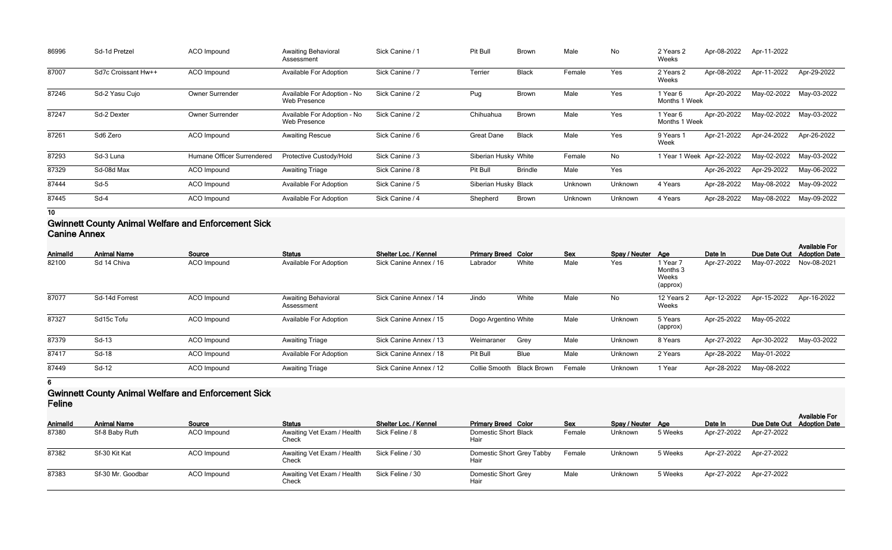| 86996 | Sd-1d Pretzel       | <b>ACO</b> Impound         | <b>Awaiting Behavioral</b><br>Assessment    | Sick Canine / 1 | Pit Bull             | <b>Brown</b>   | Male    | No      | 2 Years 2<br>Weeks        | Apr-08-2022 | Apr-11-2022 |             |
|-------|---------------------|----------------------------|---------------------------------------------|-----------------|----------------------|----------------|---------|---------|---------------------------|-------------|-------------|-------------|
| 87007 | Sd7c Croissant Hw++ | <b>ACO Impound</b>         | Available For Adoption                      | Sick Canine / 7 | Terrier              | <b>Black</b>   | Female  | Yes     | 2 Years 2<br>Weeks        | Apr-08-2022 | Apr-11-2022 | Apr-29-2022 |
| 87246 | Sd-2 Yasu Cujo      | Owner Surrender            | Available For Adoption - No<br>Web Presence | Sick Canine / 2 | Pug                  | <b>Brown</b>   | Male    | Yes     | 1 Year 6<br>Months 1 Week | Apr-20-2022 | May-02-2022 | May-03-2022 |
| 87247 | Sd-2 Dexter         | <b>Owner Surrender</b>     | Available For Adoption - No<br>Web Presence | Sick Canine / 2 | Chihuahua            | <b>Brown</b>   | Male    | Yes     | 1 Year 6<br>Months 1 Week | Apr-20-2022 | May-02-2022 | May-03-2022 |
| 87261 | Sd6 Zero            | <b>ACO</b> Impound         | <b>Awaiting Rescue</b>                      | Sick Canine / 6 | Great Dane           | <b>Black</b>   | Male    | Yes     | 9 Years 1<br>Week         | Apr-21-2022 | Apr-24-2022 | Apr-26-2022 |
| 87293 | Sd-3 Luna           | Humane Officer Surrendered | Protective Custody/Hold                     | Sick Canine / 3 | Siberian Husky White |                | Female  | No      | 1 Year 1 Week Apr-22-2022 |             | May-02-2022 | May-03-2022 |
| 87329 | Sd-08d Max          | ACO Impound                | <b>Awaiting Triage</b>                      | Sick Canine / 8 | Pit Bull             | <b>Brindle</b> | Male    | Yes     |                           | Apr-26-2022 | Apr-29-2022 | May-06-2022 |
| 87444 | Sd-5                | <b>ACO Impound</b>         | Available For Adoption                      | Sick Canine / 5 | Siberian Husky Black |                | Unknown | Unknown | 4 Years                   | Apr-28-2022 | May-08-2022 | May-09-2022 |
| 87445 | Sd-4                | <b>ACO Impound</b>         | <b>Available For Adoption</b>               | Sick Canine / 4 | Shepherd             | <b>Brown</b>   | Unknown | Unknown | 4 Years                   | Apr-28-2022 | May-08-2022 | May-09-2022 |

# **Gwinnett County Animal Welfare and Enforcement Sick Canine Annex**

| AnimalId | <b>Animal Name</b> | Source           | <b>Status</b>          | Shelter Loc. / Kennel  | <b>Primary Breed</b> | Color | Sex  |
|----------|--------------------|------------------|------------------------|------------------------|----------------------|-------|------|
| 82100    | Chiva              | ACO<br>) Impound | Available For Adoption | Sick Canine Annex / 16 | Labrador             | White | Male |

|                 |                    |                    |                                          |                        |                            |             |            |                   |                                           |             |              | <b>Available For</b> |
|-----------------|--------------------|--------------------|------------------------------------------|------------------------|----------------------------|-------------|------------|-------------------|-------------------------------------------|-------------|--------------|----------------------|
| <b>AnimalId</b> | <b>Animal Name</b> | Source             | <b>Status</b>                            | Shelter Loc. / Kennel  | <b>Primary Breed Color</b> |             | <b>Sex</b> | Spay / Neuter Age |                                           | Date In     | Due Date Out | <b>Adoption Date</b> |
| 82100           | Sd 14 Chiva        | <b>ACO</b> Impound | <b>Available For Adoption</b>            | Sick Canine Annex / 16 | Labrador                   | White       | Male       | Yes               | 1 Year 7<br>Months 3<br>Weeks<br>(approx) | Apr-27-2022 | May-07-2022  | Nov-08-2021          |
| 87077           | Sd-14d Forrest     | <b>ACO</b> Impound | <b>Awaiting Behavioral</b><br>Assessment | Sick Canine Annex / 14 | Jindo                      | White       | Male       | No                | 12 Years 2<br>Weeks                       | Apr-12-2022 | Apr-15-2022  | Apr-16-2022          |
| 87327           | Sd15c Tofu         | <b>ACO</b> Impound | <b>Available For Adoption</b>            | Sick Canine Annex / 15 | Dogo Argentino White       |             | Male       | Unknown           | 5 Years<br>(approx)                       | Apr-25-2022 | May-05-2022  |                      |
| 87379           | Sd-13              | <b>ACO</b> Impound | <b>Awaiting Triage</b>                   | Sick Canine Annex / 13 | Weimaraner                 | Grey        | Male       | Unknown           | 8 Years                                   | Apr-27-2022 | Apr-30-2022  | May-03-2022          |
| 87417           | Sd-18              | <b>ACO</b> Impound | <b>Available For Adoption</b>            | Sick Canine Annex / 18 | Pit Bull                   | <b>Blue</b> | Male       | Unknown           | 2 Years                                   | Apr-28-2022 | May-01-2022  |                      |
| 87449           | Sd-12              | <b>ACO</b> Impound | <b>Awaiting Triage</b>                   | Sick Canine Annex / 12 | Collie Smooth Black Brown  |             | Female     | Unknown           | 1 Year                                    | Apr-28-2022 | May-08-2022  |                      |

**6**

# **Gwinnett County Animal Welfare and Enforcement Sick Feline**

| <b>AnimalId</b> | <b>Animal Name</b> | Source      | <b>Status</b>                       | <b>Shelter Loc. / Kennel</b> | <b>Primary Breed Color</b>          | <b>Sex</b> | Spay / Neuter Age |         | Date In                 | <b>Available For</b><br>Due Date Out Adoption Date |
|-----------------|--------------------|-------------|-------------------------------------|------------------------------|-------------------------------------|------------|-------------------|---------|-------------------------|----------------------------------------------------|
| 87380           | Sf-8 Baby Ruth     | ACO Impound | Awaiting Vet Exam / Health<br>Check | Sick Feline / 8              | <b>Domestic Short Black</b><br>Hair | Female     | Unknown           | 5 Weeks | Apr-27-2022 Apr-27-2022 |                                                    |
| 87382           | Sf-30 Kit Kat      | ACO Impound | Awaiting Vet Exam / Health<br>Check | Sick Feline / 30             | Domestic Short Grey Tabby<br>Hair   | Female     | Unknown           | 5 Weeks | Apr-27-2022 Apr-27-2022 |                                                    |
| 87383           | Sf-30 Mr. Goodbar  | ACO Impound | Awaiting Vet Exam / Health<br>Check | Sick Feline / 30             | Domestic Short Grey<br>Hair         | Male       | Unknown           | 5 Weeks | Apr-27-2022 Apr-27-2022 |                                                    |